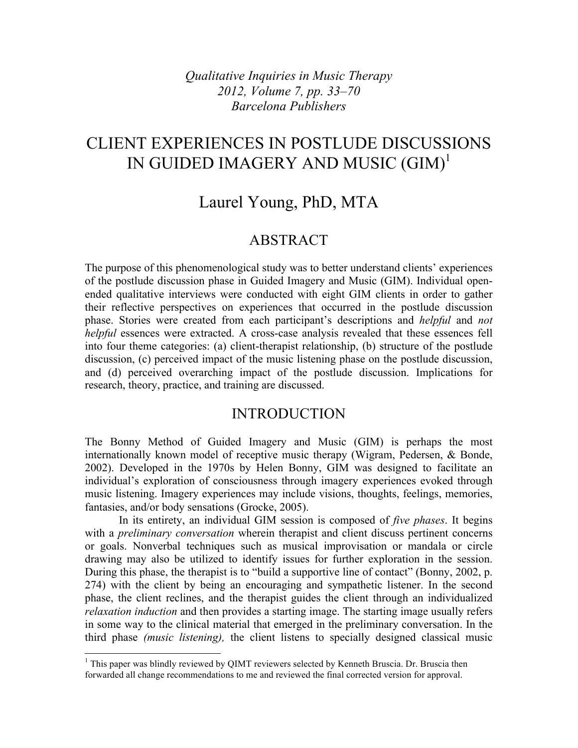*Qualitative Inquiries in Music Therapy 2012, Volume 7, pp. 33–70 Barcelona Publishers*

# CLIENT EXPERIENCES IN POSTLUDE DISCUSSIONS IN GUIDED IMAGERY AND MUSIC (GIM)<sup>1</sup>

# Laurel Young, PhD, MTA

## ABSTRACT

The purpose of this phenomenological study was to better understand clients' experiences of the postlude discussion phase in Guided Imagery and Music (GIM). Individual openended qualitative interviews were conducted with eight GIM clients in order to gather their reflective perspectives on experiences that occurred in the postlude discussion phase. Stories were created from each participant's descriptions and *helpful* and *not helpful* essences were extracted. A cross-case analysis revealed that these essences fell into four theme categories: (a) client-therapist relationship, (b) structure of the postlude discussion, (c) perceived impact of the music listening phase on the postlude discussion, and (d) perceived overarching impact of the postlude discussion. Implications for research, theory, practice, and training are discussed.

### INTRODUCTION

The Bonny Method of Guided Imagery and Music (GIM) is perhaps the most internationally known model of receptive music therapy (Wigram, Pedersen, & Bonde, 2002). Developed in the 1970s by Helen Bonny, GIM was designed to facilitate an individual's exploration of consciousness through imagery experiences evoked through music listening. Imagery experiences may include visions, thoughts, feelings, memories, fantasies, and/or body sensations (Grocke, 2005).

In its entirety, an individual GIM session is composed of *five phases*. It begins with a *preliminary conversation* wherein therapist and client discuss pertinent concerns or goals. Nonverbal techniques such as musical improvisation or mandala or circle drawing may also be utilized to identify issues for further exploration in the session. During this phase, the therapist is to "build a supportive line of contact" (Bonny, 2002, p. 274) with the client by being an encouraging and sympathetic listener. In the second phase, the client reclines, and the therapist guides the client through an individualized *relaxation induction* and then provides a starting image. The starting image usually refers in some way to the clinical material that emerged in the preliminary conversation. In the third phase *(music listening),* the client listens to specially designed classical music

<sup>&</sup>lt;sup>1</sup> This paper was blindly reviewed by QIMT reviewers selected by Kenneth Bruscia. Dr. Bruscia then forwarded all change recommendations to me and reviewed the final corrected version for approval.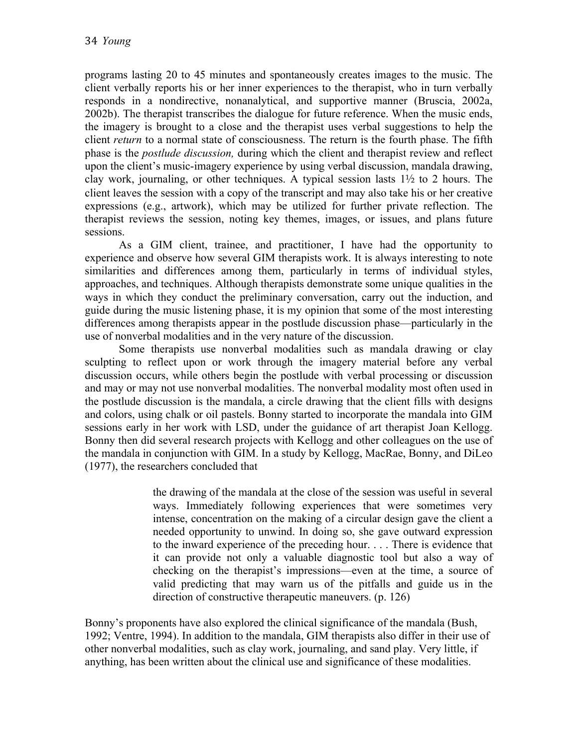programs lasting 20 to 45 minutes and spontaneously creates images to the music. The client verbally reports his or her inner experiences to the therapist, who in turn verbally responds in a nondirective, nonanalytical, and supportive manner (Bruscia, 2002a, 2002b). The therapist transcribes the dialogue for future reference. When the music ends, the imagery is brought to a close and the therapist uses verbal suggestions to help the client *return* to a normal state of consciousness. The return is the fourth phase. The fifth phase is the *postlude discussion,* during which the client and therapist review and reflect upon the client's music-imagery experience by using verbal discussion, mandala drawing, clay work, journaling, or other techniques. A typical session lasts  $1\frac{1}{2}$  to 2 hours. The client leaves the session with a copy of the transcript and may also take his or her creative expressions (e.g., artwork), which may be utilized for further private reflection. The therapist reviews the session, noting key themes, images, or issues, and plans future sessions.

As a GIM client, trainee, and practitioner, I have had the opportunity to experience and observe how several GIM therapists work. It is always interesting to note similarities and differences among them, particularly in terms of individual styles, approaches, and techniques. Although therapists demonstrate some unique qualities in the ways in which they conduct the preliminary conversation, carry out the induction, and guide during the music listening phase, it is my opinion that some of the most interesting differences among therapists appear in the postlude discussion phase––particularly in the use of nonverbal modalities and in the very nature of the discussion.

Some therapists use nonverbal modalities such as mandala drawing or clay sculpting to reflect upon or work through the imagery material before any verbal discussion occurs, while others begin the postlude with verbal processing or discussion and may or may not use nonverbal modalities. The nonverbal modality most often used in the postlude discussion is the mandala, a circle drawing that the client fills with designs and colors, using chalk or oil pastels. Bonny started to incorporate the mandala into GIM sessions early in her work with LSD, under the guidance of art therapist Joan Kellogg. Bonny then did several research projects with Kellogg and other colleagues on the use of the mandala in conjunction with GIM. In a study by Kellogg, MacRae, Bonny, and DiLeo (1977), the researchers concluded that

> the drawing of the mandala at the close of the session was useful in several ways. Immediately following experiences that were sometimes very intense, concentration on the making of a circular design gave the client a needed opportunity to unwind. In doing so, she gave outward expression to the inward experience of the preceding hour. . . . There is evidence that it can provide not only a valuable diagnostic tool but also a way of checking on the therapist's impressions—even at the time, a source of valid predicting that may warn us of the pitfalls and guide us in the direction of constructive therapeutic maneuvers. (p. 126)

Bonny's proponents have also explored the clinical significance of the mandala (Bush, 1992; Ventre, 1994). In addition to the mandala, GIM therapists also differ in their use of other nonverbal modalities, such as clay work, journaling, and sand play. Very little, if anything, has been written about the clinical use and significance of these modalities.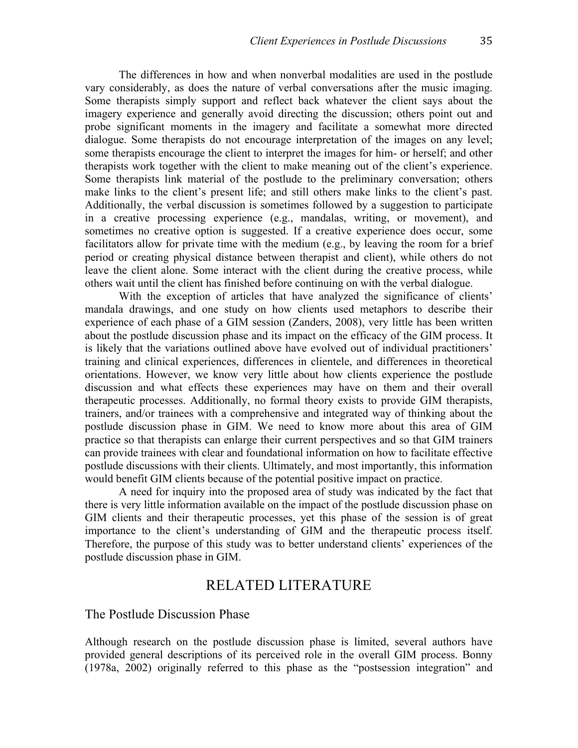The differences in how and when nonverbal modalities are used in the postlude vary considerably, as does the nature of verbal conversations after the music imaging. Some therapists simply support and reflect back whatever the client says about the imagery experience and generally avoid directing the discussion; others point out and probe significant moments in the imagery and facilitate a somewhat more directed dialogue. Some therapists do not encourage interpretation of the images on any level; some therapists encourage the client to interpret the images for him- or herself; and other therapists work together with the client to make meaning out of the client's experience. Some therapists link material of the postlude to the preliminary conversation; others make links to the client's present life; and still others make links to the client's past. Additionally, the verbal discussion is sometimes followed by a suggestion to participate in a creative processing experience (e.g., mandalas, writing, or movement), and sometimes no creative option is suggested. If a creative experience does occur, some facilitators allow for private time with the medium (e.g., by leaving the room for a brief period or creating physical distance between therapist and client), while others do not leave the client alone. Some interact with the client during the creative process, while others wait until the client has finished before continuing on with the verbal dialogue.

With the exception of articles that have analyzed the significance of clients' mandala drawings, and one study on how clients used metaphors to describe their experience of each phase of a GIM session (Zanders, 2008), very little has been written about the postlude discussion phase and its impact on the efficacy of the GIM process. It is likely that the variations outlined above have evolved out of individual practitioners' training and clinical experiences, differences in clientele, and differences in theoretical orientations. However, we know very little about how clients experience the postlude discussion and what effects these experiences may have on them and their overall therapeutic processes. Additionally, no formal theory exists to provide GIM therapists, trainers, and/or trainees with a comprehensive and integrated way of thinking about the postlude discussion phase in GIM. We need to know more about this area of GIM practice so that therapists can enlarge their current perspectives and so that GIM trainers can provide trainees with clear and foundational information on how to facilitate effective postlude discussions with their clients. Ultimately, and most importantly, this information would benefit GIM clients because of the potential positive impact on practice.

A need for inquiry into the proposed area of study was indicated by the fact that there is very little information available on the impact of the postlude discussion phase on GIM clients and their therapeutic processes, yet this phase of the session is of great importance to the client's understanding of GIM and the therapeutic process itself. Therefore, the purpose of this study was to better understand clients' experiences of the postlude discussion phase in GIM.

### RELATED LITERATURE

The Postlude Discussion Phase

Although research on the postlude discussion phase is limited, several authors have provided general descriptions of its perceived role in the overall GIM process. Bonny (1978a, 2002) originally referred to this phase as the "postsession integration" and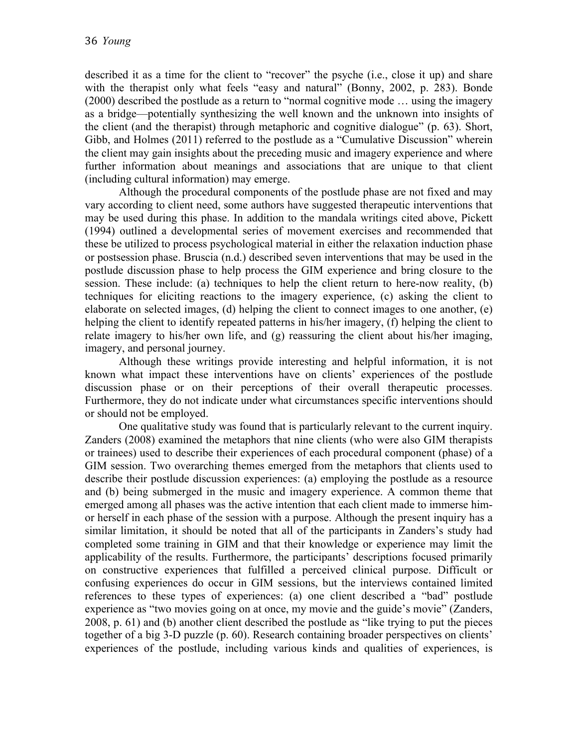described it as a time for the client to "recover" the psyche (i.e., close it up) and share with the therapist only what feels "easy and natural" (Bonny, 2002, p. 283). Bonde (2000) described the postlude as a return to "normal cognitive mode … using the imagery as a bridge––potentially synthesizing the well known and the unknown into insights of the client (and the therapist) through metaphoric and cognitive dialogue" (p. 63). Short, Gibb, and Holmes (2011) referred to the postlude as a "Cumulative Discussion" wherein the client may gain insights about the preceding music and imagery experience and where further information about meanings and associations that are unique to that client (including cultural information) may emerge.

Although the procedural components of the postlude phase are not fixed and may vary according to client need, some authors have suggested therapeutic interventions that may be used during this phase. In addition to the mandala writings cited above, Pickett (1994) outlined a developmental series of movement exercises and recommended that these be utilized to process psychological material in either the relaxation induction phase or postsession phase. Bruscia (n.d.) described seven interventions that may be used in the postlude discussion phase to help process the GIM experience and bring closure to the session. These include: (a) techniques to help the client return to here-now reality, (b) techniques for eliciting reactions to the imagery experience, (c) asking the client to elaborate on selected images, (d) helping the client to connect images to one another, (e) helping the client to identify repeated patterns in his/her imagery, (f) helping the client to relate imagery to his/her own life, and (g) reassuring the client about his/her imaging, imagery, and personal journey.

Although these writings provide interesting and helpful information, it is not known what impact these interventions have on clients' experiences of the postlude discussion phase or on their perceptions of their overall therapeutic processes. Furthermore, they do not indicate under what circumstances specific interventions should or should not be employed.

One qualitative study was found that is particularly relevant to the current inquiry. Zanders (2008) examined the metaphors that nine clients (who were also GIM therapists or trainees) used to describe their experiences of each procedural component (phase) of a GIM session. Two overarching themes emerged from the metaphors that clients used to describe their postlude discussion experiences: (a) employing the postlude as a resource and (b) being submerged in the music and imagery experience. A common theme that emerged among all phases was the active intention that each client made to immerse himor herself in each phase of the session with a purpose. Although the present inquiry has a similar limitation, it should be noted that all of the participants in Zanders's study had completed some training in GIM and that their knowledge or experience may limit the applicability of the results. Furthermore, the participants' descriptions focused primarily on constructive experiences that fulfilled a perceived clinical purpose. Difficult or confusing experiences do occur in GIM sessions, but the interviews contained limited references to these types of experiences: (a) one client described a "bad" postlude experience as "two movies going on at once, my movie and the guide's movie" (Zanders, 2008, p. 61) and (b) another client described the postlude as "like trying to put the pieces together of a big 3-D puzzle (p. 60). Research containing broader perspectives on clients' experiences of the postlude, including various kinds and qualities of experiences, is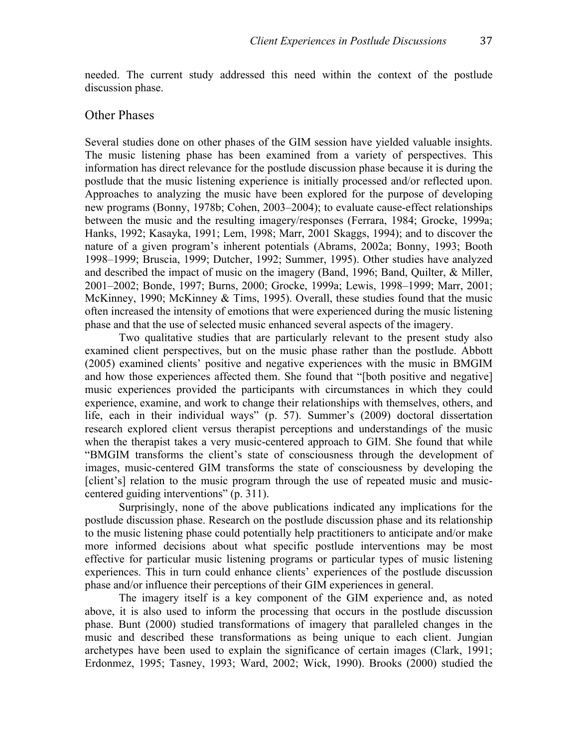needed. The current study addressed this need within the context of the postlude discussion phase.

#### Other Phases

Several studies done on other phases of the GIM session have yielded valuable insights. The music listening phase has been examined from a variety of perspectives. This information has direct relevance for the postlude discussion phase because it is during the postlude that the music listening experience is initially processed and/or reflected upon. Approaches to analyzing the music have been explored for the purpose of developing new programs (Bonny, 1978b; Cohen, 2003–2004); to evaluate cause-effect relationships between the music and the resulting imagery/responses (Ferrara, 1984; Grocke, 1999a; Hanks, 1992; Kasayka, 1991; Lem, 1998; Marr, 2001 Skaggs, 1994); and to discover the nature of a given program's inherent potentials (Abrams, 2002a; Bonny, 1993; Booth 1998–1999; Bruscia, 1999; Dutcher, 1992; Summer, 1995). Other studies have analyzed and described the impact of music on the imagery (Band, 1996; Band, Quilter, & Miller, 2001–2002; Bonde, 1997; Burns, 2000; Grocke, 1999a; Lewis, 1998–1999; Marr, 2001; McKinney, 1990; McKinney & Tims, 1995). Overall, these studies found that the music often increased the intensity of emotions that were experienced during the music listening phase and that the use of selected music enhanced several aspects of the imagery.

Two qualitative studies that are particularly relevant to the present study also examined client perspectives, but on the music phase rather than the postlude. Abbott (2005) examined clients' positive and negative experiences with the music in BMGIM and how those experiences affected them. She found that "[both positive and negative] music experiences provided the participants with circumstances in which they could experience, examine, and work to change their relationships with themselves, others, and life, each in their individual ways" (p. 57). Summer's (2009) doctoral dissertation research explored client versus therapist perceptions and understandings of the music when the therapist takes a very music-centered approach to GIM. She found that while "BMGIM transforms the client's state of consciousness through the development of images, music-centered GIM transforms the state of consciousness by developing the [client's] relation to the music program through the use of repeated music and musiccentered guiding interventions" (p. 311).

Surprisingly, none of the above publications indicated any implications for the postlude discussion phase. Research on the postlude discussion phase and its relationship to the music listening phase could potentially help practitioners to anticipate and/or make more informed decisions about what specific postlude interventions may be most effective for particular music listening programs or particular types of music listening experiences. This in turn could enhance clients' experiences of the postlude discussion phase and/or influence their perceptions of their GIM experiences in general.

The imagery itself is a key component of the GIM experience and, as noted above, it is also used to inform the processing that occurs in the postlude discussion phase. Bunt (2000) studied transformations of imagery that paralleled changes in the music and described these transformations as being unique to each client. Jungian archetypes have been used to explain the significance of certain images (Clark, 1991; Erdonmez, 1995; Tasney, 1993; Ward, 2002; Wick, 1990). Brooks (2000) studied the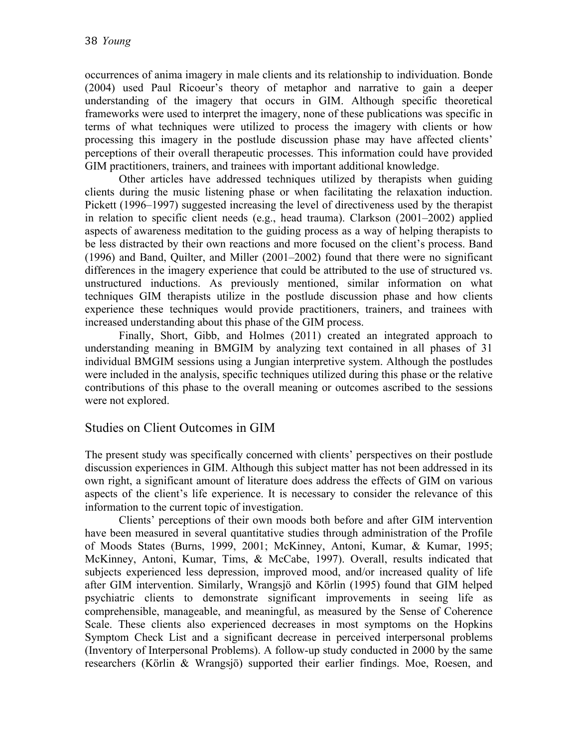occurrences of anima imagery in male clients and its relationship to individuation. Bonde (2004) used Paul Ricoeur's theory of metaphor and narrative to gain a deeper understanding of the imagery that occurs in GIM. Although specific theoretical frameworks were used to interpret the imagery, none of these publications was specific in terms of what techniques were utilized to process the imagery with clients or how processing this imagery in the postlude discussion phase may have affected clients' perceptions of their overall therapeutic processes. This information could have provided GIM practitioners, trainers, and trainees with important additional knowledge.

Other articles have addressed techniques utilized by therapists when guiding clients during the music listening phase or when facilitating the relaxation induction. Pickett (1996–1997) suggested increasing the level of directiveness used by the therapist in relation to specific client needs (e.g., head trauma). Clarkson (2001–2002) applied aspects of awareness meditation to the guiding process as a way of helping therapists to be less distracted by their own reactions and more focused on the client's process. Band (1996) and Band, Quilter, and Miller (2001–2002) found that there were no significant differences in the imagery experience that could be attributed to the use of structured vs. unstructured inductions. As previously mentioned, similar information on what techniques GIM therapists utilize in the postlude discussion phase and how clients experience these techniques would provide practitioners, trainers, and trainees with increased understanding about this phase of the GIM process.

Finally, Short, Gibb, and Holmes (2011) created an integrated approach to understanding meaning in BMGIM by analyzing text contained in all phases of 31 individual BMGIM sessions using a Jungian interpretive system. Although the postludes were included in the analysis, specific techniques utilized during this phase or the relative contributions of this phase to the overall meaning or outcomes ascribed to the sessions were not explored.

### Studies on Client Outcomes in GIM

The present study was specifically concerned with clients' perspectives on their postlude discussion experiences in GIM. Although this subject matter has not been addressed in its own right, a significant amount of literature does address the effects of GIM on various aspects of the client's life experience. It is necessary to consider the relevance of this information to the current topic of investigation.

Clients' perceptions of their own moods both before and after GIM intervention have been measured in several quantitative studies through administration of the Profile of Moods States (Burns, 1999, 2001; McKinney, Antoni, Kumar, & Kumar, 1995; McKinney, Antoni, Kumar, Tims, & McCabe, 1997). Overall, results indicated that subjects experienced less depression, improved mood, and/or increased quality of life after GIM intervention. Similarly, Wrangsjö and Körlin (1995) found that GIM helped psychiatric clients to demonstrate significant improvements in seeing life as comprehensible, manageable, and meaningful, as measured by the Sense of Coherence Scale. These clients also experienced decreases in most symptoms on the Hopkins Symptom Check List and a significant decrease in perceived interpersonal problems (Inventory of Interpersonal Problems). A follow-up study conducted in 2000 by the same researchers (Körlin & Wrangsjö) supported their earlier findings. Moe, Roesen, and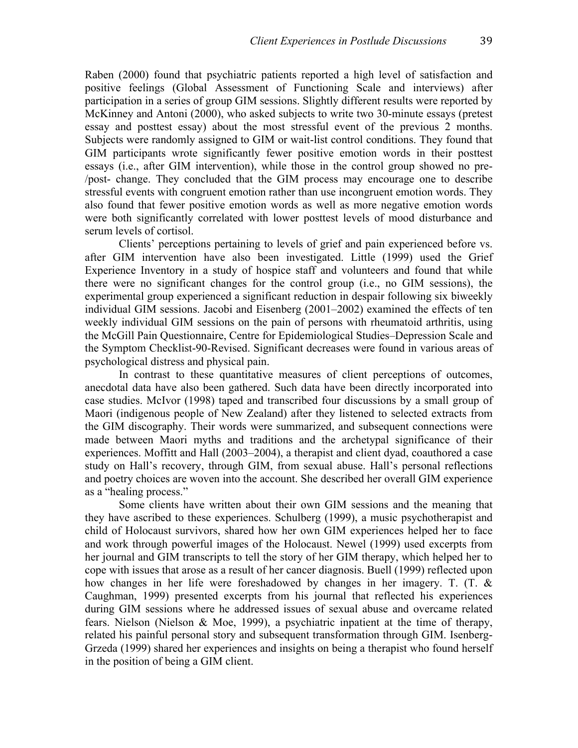Raben (2000) found that psychiatric patients reported a high level of satisfaction and positive feelings (Global Assessment of Functioning Scale and interviews) after participation in a series of group GIM sessions. Slightly different results were reported by McKinney and Antoni (2000), who asked subjects to write two 30-minute essays (pretest essay and posttest essay) about the most stressful event of the previous 2 months. Subjects were randomly assigned to GIM or wait-list control conditions. They found that GIM participants wrote significantly fewer positive emotion words in their posttest essays (i.e., after GIM intervention), while those in the control group showed no pre- /post- change. They concluded that the GIM process may encourage one to describe stressful events with congruent emotion rather than use incongruent emotion words. They also found that fewer positive emotion words as well as more negative emotion words were both significantly correlated with lower posttest levels of mood disturbance and serum levels of cortisol.

Clients' perceptions pertaining to levels of grief and pain experienced before vs. after GIM intervention have also been investigated. Little (1999) used the Grief Experience Inventory in a study of hospice staff and volunteers and found that while there were no significant changes for the control group (i.e., no GIM sessions), the experimental group experienced a significant reduction in despair following six biweekly individual GIM sessions. Jacobi and Eisenberg (2001–2002) examined the effects of ten weekly individual GIM sessions on the pain of persons with rheumatoid arthritis, using the McGill Pain Questionnaire, Centre for Epidemiological Studies–Depression Scale and the Symptom Checklist-90-Revised. Significant decreases were found in various areas of psychological distress and physical pain.

In contrast to these quantitative measures of client perceptions of outcomes, anecdotal data have also been gathered. Such data have been directly incorporated into case studies. McIvor (1998) taped and transcribed four discussions by a small group of Maori (indigenous people of New Zealand) after they listened to selected extracts from the GIM discography. Their words were summarized, and subsequent connections were made between Maori myths and traditions and the archetypal significance of their experiences. Moffitt and Hall (2003–2004), a therapist and client dyad, coauthored a case study on Hall's recovery, through GIM, from sexual abuse. Hall's personal reflections and poetry choices are woven into the account. She described her overall GIM experience as a "healing process."

Some clients have written about their own GIM sessions and the meaning that they have ascribed to these experiences. Schulberg (1999), a music psychotherapist and child of Holocaust survivors, shared how her own GIM experiences helped her to face and work through powerful images of the Holocaust. Newel (1999) used excerpts from her journal and GIM transcripts to tell the story of her GIM therapy, which helped her to cope with issues that arose as a result of her cancer diagnosis. Buell (1999) reflected upon how changes in her life were foreshadowed by changes in her imagery. T. (T. & Caughman, 1999) presented excerpts from his journal that reflected his experiences during GIM sessions where he addressed issues of sexual abuse and overcame related fears. Nielson (Nielson & Moe, 1999), a psychiatric inpatient at the time of therapy, related his painful personal story and subsequent transformation through GIM. Isenberg-Grzeda (1999) shared her experiences and insights on being a therapist who found herself in the position of being a GIM client.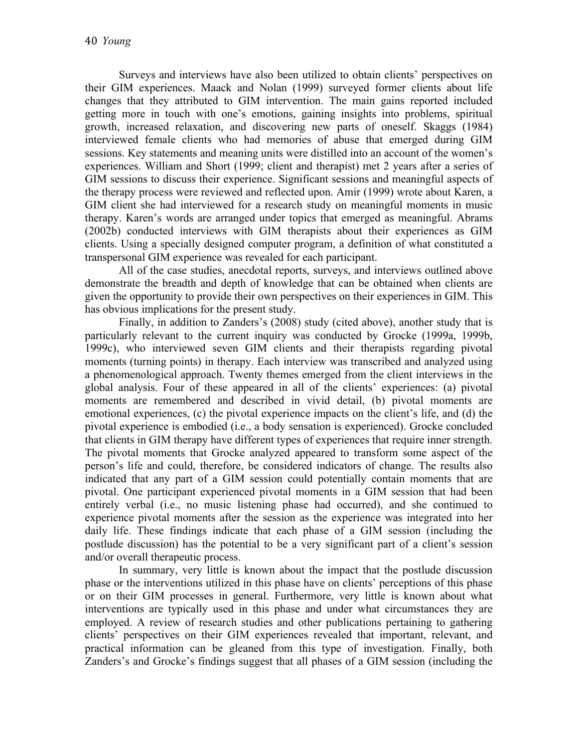Surveys and interviews have also been utilized to obtain clients' perspectives on their GIM experiences. Maack and Nolan (1999) surveyed former clients about life changes that they attributed to GIM intervention. The main gains reported included getting more in touch with one's emotions, gaining insights into problems, spiritual growth, increased relaxation, and discovering new parts of oneself. Skaggs (1984) interviewed female clients who had memories of abuse that emerged during GIM sessions. Key statements and meaning units were distilled into an account of the women's experiences. William and Short (1999; client and therapist) met 2 years after a series of GIM sessions to discuss their experience. Significant sessions and meaningful aspects of the therapy process were reviewed and reflected upon. Amir (1999) wrote about Karen, a GIM client she had interviewed for a research study on meaningful moments in music therapy. Karen's words are arranged under topics that emerged as meaningful. Abrams (2002b) conducted interviews with GIM therapists about their experiences as GIM clients. Using a specially designed computer program, a definition of what constituted a transpersonal GIM experience was revealed for each participant.

All of the case studies, anecdotal reports, surveys, and interviews outlined above demonstrate the breadth and depth of knowledge that can be obtained when clients are given the opportunity to provide their own perspectives on their experiences in GIM. This has obvious implications for the present study.

Finally, in addition to Zanders's (2008) study (cited above), another study that is particularly relevant to the current inquiry was conducted by Grocke (1999a, 1999b, 1999c), who interviewed seven GIM clients and their therapists regarding pivotal moments (turning points) in therapy. Each interview was transcribed and analyzed using a phenomenological approach. Twenty themes emerged from the client interviews in the global analysis. Four of these appeared in all of the clients' experiences: (a) pivotal moments are remembered and described in vivid detail, (b) pivotal moments are emotional experiences, (c) the pivotal experience impacts on the client's life, and (d) the pivotal experience is embodied (i.e., a body sensation is experienced). Grocke concluded that clients in GIM therapy have different types of experiences that require inner strength. The pivotal moments that Grocke analyzed appeared to transform some aspect of the person's life and could, therefore, be considered indicators of change. The results also indicated that any part of a GIM session could potentially contain moments that are pivotal. One participant experienced pivotal moments in a GIM session that had been entirely verbal (i.e., no music listening phase had occurred), and she continued to experience pivotal moments after the session as the experience was integrated into her daily life. These findings indicate that each phase of a GIM session (including the postlude discussion) has the potential to be a very significant part of a client's session and/or overall therapeutic process.

In summary, very little is known about the impact that the postlude discussion phase or the interventions utilized in this phase have on clients' perceptions of this phase or on their GIM processes in general. Furthermore, very little is known about what interventions are typically used in this phase and under what circumstances they are employed. A review of research studies and other publications pertaining to gathering clients' perspectives on their GIM experiences revealed that important, relevant, and practical information can be gleaned from this type of investigation. Finally, both Zanders's and Grocke's findings suggest that all phases of a GIM session (including the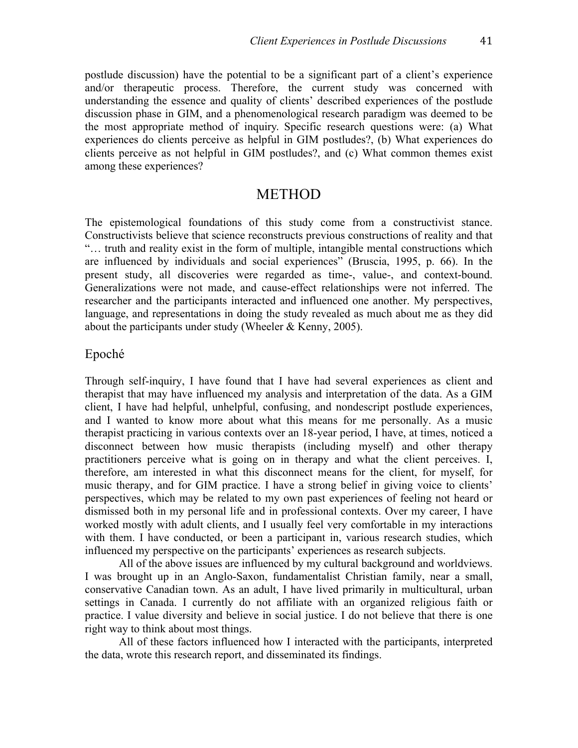postlude discussion) have the potential to be a significant part of a client's experience and/or therapeutic process. Therefore, the current study was concerned with understanding the essence and quality of clients' described experiences of the postlude discussion phase in GIM, and a phenomenological research paradigm was deemed to be the most appropriate method of inquiry. Specific research questions were: (a) What experiences do clients perceive as helpful in GIM postludes?, (b) What experiences do clients perceive as not helpful in GIM postludes?, and (c) What common themes exist among these experiences?

### **METHOD**

The epistemological foundations of this study come from a constructivist stance. Constructivists believe that science reconstructs previous constructions of reality and that "… truth and reality exist in the form of multiple, intangible mental constructions which are influenced by individuals and social experiences" (Bruscia, 1995, p. 66). In the present study, all discoveries were regarded as time-, value-, and context-bound. Generalizations were not made, and cause-effect relationships were not inferred. The researcher and the participants interacted and influenced one another. My perspectives, language, and representations in doing the study revealed as much about me as they did about the participants under study (Wheeler & Kenny, 2005).

#### Epoché

Through self-inquiry, I have found that I have had several experiences as client and therapist that may have influenced my analysis and interpretation of the data. As a GIM client, I have had helpful, unhelpful, confusing, and nondescript postlude experiences, and I wanted to know more about what this means for me personally. As a music therapist practicing in various contexts over an 18-year period, I have, at times, noticed a disconnect between how music therapists (including myself) and other therapy practitioners perceive what is going on in therapy and what the client perceives. I, therefore, am interested in what this disconnect means for the client, for myself, for music therapy, and for GIM practice. I have a strong belief in giving voice to clients' perspectives, which may be related to my own past experiences of feeling not heard or dismissed both in my personal life and in professional contexts. Over my career, I have worked mostly with adult clients, and I usually feel very comfortable in my interactions with them. I have conducted, or been a participant in, various research studies, which influenced my perspective on the participants' experiences as research subjects.

All of the above issues are influenced by my cultural background and worldviews. I was brought up in an Anglo-Saxon, fundamentalist Christian family, near a small, conservative Canadian town. As an adult, I have lived primarily in multicultural, urban settings in Canada. I currently do not affiliate with an organized religious faith or practice. I value diversity and believe in social justice. I do not believe that there is one right way to think about most things.

All of these factors influenced how I interacted with the participants, interpreted the data, wrote this research report, and disseminated its findings.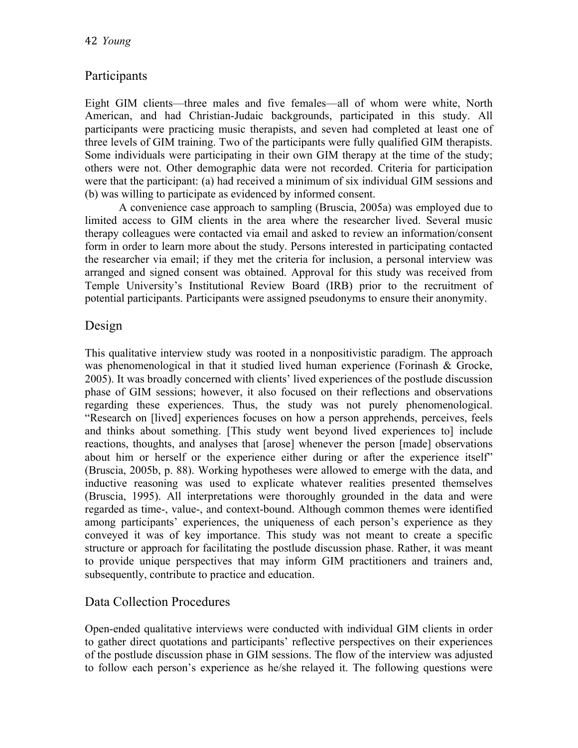### Participants

Eight GIM clients––three males and five females––all of whom were white, North American, and had Christian-Judaic backgrounds, participated in this study. All participants were practicing music therapists, and seven had completed at least one of three levels of GIM training. Two of the participants were fully qualified GIM therapists. Some individuals were participating in their own GIM therapy at the time of the study; others were not. Other demographic data were not recorded. Criteria for participation were that the participant: (a) had received a minimum of six individual GIM sessions and (b) was willing to participate as evidenced by informed consent.

A convenience case approach to sampling (Bruscia, 2005a) was employed due to limited access to GIM clients in the area where the researcher lived. Several music therapy colleagues were contacted via email and asked to review an information/consent form in order to learn more about the study. Persons interested in participating contacted the researcher via email; if they met the criteria for inclusion, a personal interview was arranged and signed consent was obtained. Approval for this study was received from Temple University's Institutional Review Board (IRB) prior to the recruitment of potential participants. Participants were assigned pseudonyms to ensure their anonymity.

### Design

This qualitative interview study was rooted in a nonpositivistic paradigm. The approach was phenomenological in that it studied lived human experience (Forinash & Grocke, 2005). It was broadly concerned with clients' lived experiences of the postlude discussion phase of GIM sessions; however, it also focused on their reflections and observations regarding these experiences. Thus, the study was not purely phenomenological. "Research on [lived] experiences focuses on how a person apprehends, perceives, feels and thinks about something. [This study went beyond lived experiences to] include reactions, thoughts, and analyses that [arose] whenever the person [made] observations about him or herself or the experience either during or after the experience itself" (Bruscia, 2005b, p. 88). Working hypotheses were allowed to emerge with the data, and inductive reasoning was used to explicate whatever realities presented themselves (Bruscia, 1995). All interpretations were thoroughly grounded in the data and were regarded as time-, value-, and context-bound. Although common themes were identified among participants' experiences, the uniqueness of each person's experience as they conveyed it was of key importance. This study was not meant to create a specific structure or approach for facilitating the postlude discussion phase. Rather, it was meant to provide unique perspectives that may inform GIM practitioners and trainers and, subsequently, contribute to practice and education.

### Data Collection Procedures

Open-ended qualitative interviews were conducted with individual GIM clients in order to gather direct quotations and participants' reflective perspectives on their experiences of the postlude discussion phase in GIM sessions. The flow of the interview was adjusted to follow each person's experience as he/she relayed it. The following questions were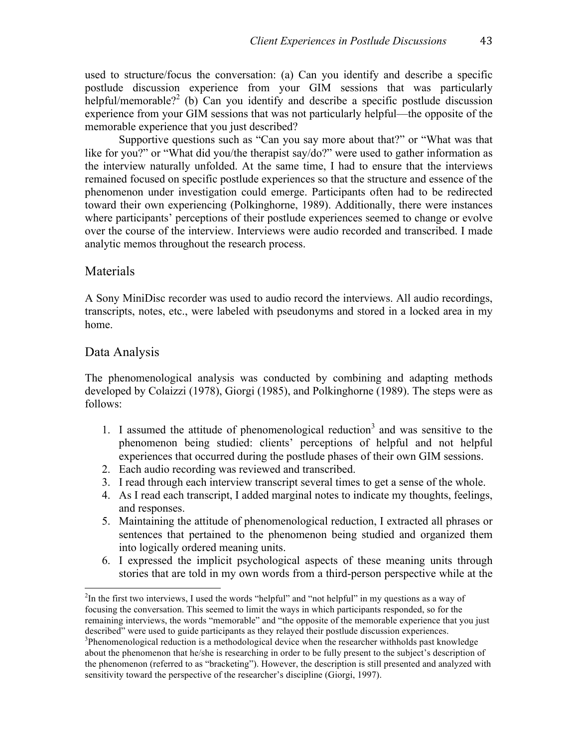used to structure/focus the conversation: (a) Can you identify and describe a specific postlude discussion experience from your GIM sessions that was particularly helpful/memorable?<sup>2</sup> (b) Can you identify and describe a specific postlude discussion experience from your GIM sessions that was not particularly helpful––the opposite of the memorable experience that you just described?

Supportive questions such as "Can you say more about that?" or "What was that like for you?" or "What did you/the therapist say/do?" were used to gather information as the interview naturally unfolded. At the same time, I had to ensure that the interviews remained focused on specific postlude experiences so that the structure and essence of the phenomenon under investigation could emerge. Participants often had to be redirected toward their own experiencing (Polkinghorne, 1989). Additionally, there were instances where participants' perceptions of their postlude experiences seemed to change or evolve over the course of the interview. Interviews were audio recorded and transcribed. I made analytic memos throughout the research process.

#### Materials

A Sony MiniDisc recorder was used to audio record the interviews. All audio recordings, transcripts, notes, etc., were labeled with pseudonyms and stored in a locked area in my home.

### Data Analysis

The phenomenological analysis was conducted by combining and adapting methods developed by Colaizzi (1978), Giorgi (1985), and Polkinghorne (1989). The steps were as follows:

- 1. I assumed the attitude of phenomenological reduction<sup>3</sup> and was sensitive to the phenomenon being studied: clients' perceptions of helpful and not helpful experiences that occurred during the postlude phases of their own GIM sessions.
- 2. Each audio recording was reviewed and transcribed.
- 3. I read through each interview transcript several times to get a sense of the whole.
- 4. As I read each transcript, I added marginal notes to indicate my thoughts, feelings, and responses.
- 5. Maintaining the attitude of phenomenological reduction, I extracted all phrases or sentences that pertained to the phenomenon being studied and organized them into logically ordered meaning units.
- 6. I expressed the implicit psychological aspects of these meaning units through stories that are told in my own words from a third-person perspective while at the

 $\frac{1}{2}$  in the first two interviews, I used the words "helpful" and "not helpful" in my questions as a way of focusing the conversation. This seemed to limit the ways in which participants responded, so for the remaining interviews, the words "memorable" and "the opposite of the memorable experience that you just described" were used to guide participants as they relayed their postlude discussion experiences. 3

<sup>&</sup>lt;sup>3</sup>Phenomenological reduction is a methodological device when the researcher withholds past knowledge about the phenomenon that he/she is researching in order to be fully present to the subject's description of the phenomenon (referred to as "bracketing"). However, the description is still presented and analyzed with sensitivity toward the perspective of the researcher's discipline (Giorgi, 1997).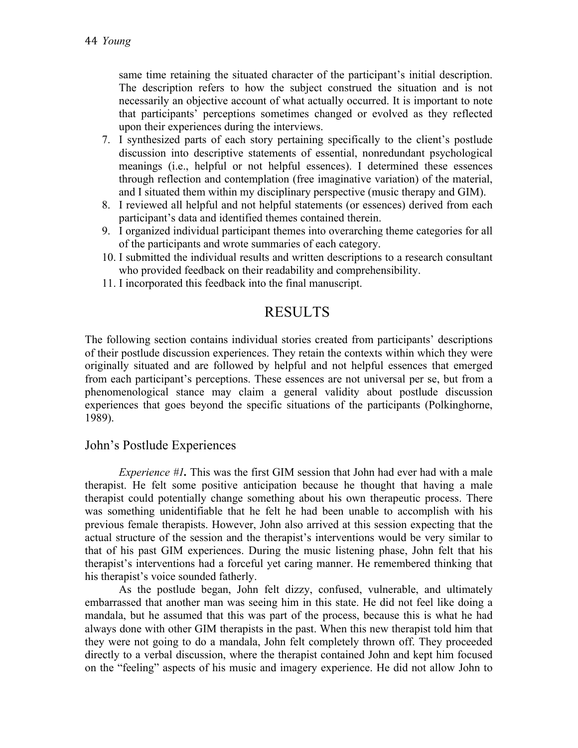same time retaining the situated character of the participant's initial description. The description refers to how the subject construed the situation and is not necessarily an objective account of what actually occurred. It is important to note that participants' perceptions sometimes changed or evolved as they reflected upon their experiences during the interviews.

- 7. I synthesized parts of each story pertaining specifically to the client's postlude discussion into descriptive statements of essential, nonredundant psychological meanings (i.e., helpful or not helpful essences). I determined these essences through reflection and contemplation (free imaginative variation) of the material, and I situated them within my disciplinary perspective (music therapy and GIM).
- 8. I reviewed all helpful and not helpful statements (or essences) derived from each participant's data and identified themes contained therein.
- 9. I organized individual participant themes into overarching theme categories for all of the participants and wrote summaries of each category.
- 10. I submitted the individual results and written descriptions to a research consultant who provided feedback on their readability and comprehensibility.
- 11. I incorporated this feedback into the final manuscript.

### RESULTS

The following section contains individual stories created from participants' descriptions of their postlude discussion experiences. They retain the contexts within which they were originally situated and are followed by helpful and not helpful essences that emerged from each participant's perceptions. These essences are not universal per se, but from a phenomenological stance may claim a general validity about postlude discussion experiences that goes beyond the specific situations of the participants (Polkinghorne, 1989).

#### John's Postlude Experiences

*Experience #1*. This was the first GIM session that John had ever had with a male therapist. He felt some positive anticipation because he thought that having a male therapist could potentially change something about his own therapeutic process. There was something unidentifiable that he felt he had been unable to accomplish with his previous female therapists. However, John also arrived at this session expecting that the actual structure of the session and the therapist's interventions would be very similar to that of his past GIM experiences. During the music listening phase, John felt that his therapist's interventions had a forceful yet caring manner. He remembered thinking that his therapist's voice sounded fatherly.

As the postlude began, John felt dizzy, confused, vulnerable, and ultimately embarrassed that another man was seeing him in this state. He did not feel like doing a mandala, but he assumed that this was part of the process, because this is what he had always done with other GIM therapists in the past. When this new therapist told him that they were not going to do a mandala, John felt completely thrown off. They proceeded directly to a verbal discussion, where the therapist contained John and kept him focused on the "feeling" aspects of his music and imagery experience. He did not allow John to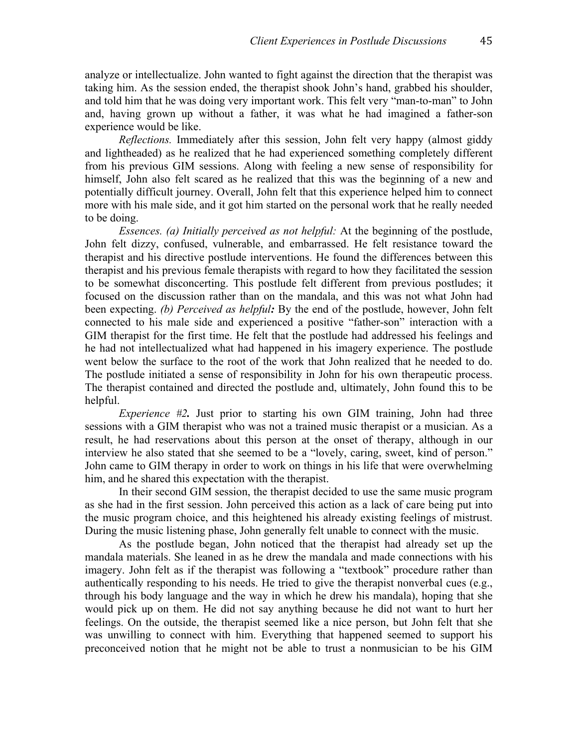analyze or intellectualize. John wanted to fight against the direction that the therapist was taking him. As the session ended, the therapist shook John's hand, grabbed his shoulder, and told him that he was doing very important work. This felt very "man-to-man" to John and, having grown up without a father, it was what he had imagined a father-son experience would be like.

*Reflections.* Immediately after this session, John felt very happy (almost giddy and lightheaded) as he realized that he had experienced something completely different from his previous GIM sessions. Along with feeling a new sense of responsibility for himself, John also felt scared as he realized that this was the beginning of a new and potentially difficult journey. Overall, John felt that this experience helped him to connect more with his male side, and it got him started on the personal work that he really needed to be doing.

*Essences. (a) Initially perceived as not helpful:* At the beginning of the postlude, John felt dizzy, confused, vulnerable, and embarrassed. He felt resistance toward the therapist and his directive postlude interventions. He found the differences between this therapist and his previous female therapists with regard to how they facilitated the session to be somewhat disconcerting. This postlude felt different from previous postludes; it focused on the discussion rather than on the mandala, and this was not what John had been expecting. *(b) Perceived as helpful:* By the end of the postlude, however, John felt connected to his male side and experienced a positive "father-son" interaction with a GIM therapist for the first time. He felt that the postlude had addressed his feelings and he had not intellectualized what had happened in his imagery experience. The postlude went below the surface to the root of the work that John realized that he needed to do. The postlude initiated a sense of responsibility in John for his own therapeutic process. The therapist contained and directed the postlude and, ultimately, John found this to be helpful.

*Experience #2*. Just prior to starting his own GIM training, John had three sessions with a GIM therapist who was not a trained music therapist or a musician. As a result, he had reservations about this person at the onset of therapy, although in our interview he also stated that she seemed to be a "lovely, caring, sweet, kind of person." John came to GIM therapy in order to work on things in his life that were overwhelming him, and he shared this expectation with the therapist.

In their second GIM session, the therapist decided to use the same music program as she had in the first session. John perceived this action as a lack of care being put into the music program choice, and this heightened his already existing feelings of mistrust. During the music listening phase, John generally felt unable to connect with the music.

As the postlude began, John noticed that the therapist had already set up the mandala materials. She leaned in as he drew the mandala and made connections with his imagery. John felt as if the therapist was following a "textbook" procedure rather than authentically responding to his needs. He tried to give the therapist nonverbal cues (e.g., through his body language and the way in which he drew his mandala), hoping that she would pick up on them. He did not say anything because he did not want to hurt her feelings. On the outside, the therapist seemed like a nice person, but John felt that she was unwilling to connect with him. Everything that happened seemed to support his preconceived notion that he might not be able to trust a nonmusician to be his GIM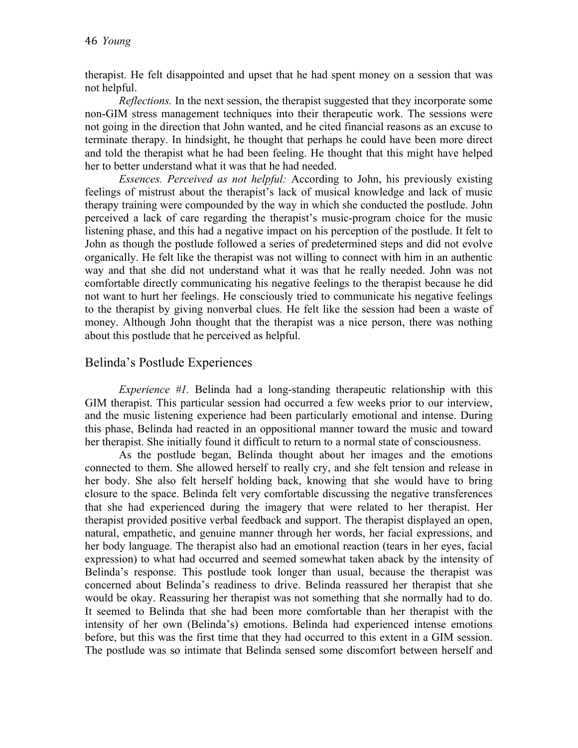therapist. He felt disappointed and upset that he had spent money on a session that was not helpful.

*Reflections.* In the next session, the therapist suggested that they incorporate some non-GIM stress management techniques into their therapeutic work. The sessions were not going in the direction that John wanted, and he cited financial reasons as an excuse to terminate therapy. In hindsight, he thought that perhaps he could have been more direct and told the therapist what he had been feeling. He thought that this might have helped her to better understand what it was that he had needed.

*Essences. Perceived as not helpful:* According to John, his previously existing feelings of mistrust about the therapist's lack of musical knowledge and lack of music therapy training were compounded by the way in which she conducted the postlude. John perceived a lack of care regarding the therapist's music-program choice for the music listening phase, and this had a negative impact on his perception of the postlude. It felt to John as though the postlude followed a series of predetermined steps and did not evolve organically. He felt like the therapist was not willing to connect with him in an authentic way and that she did not understand what it was that he really needed. John was not comfortable directly communicating his negative feelings to the therapist because he did not want to hurt her feelings. He consciously tried to communicate his negative feelings to the therapist by giving nonverbal clues. He felt like the session had been a waste of money. Although John thought that the therapist was a nice person, there was nothing about this postlude that he perceived as helpful.

#### Belinda's Postlude Experiences

*Experience #1.* Belinda had a long-standing therapeutic relationship with this GIM therapist. This particular session had occurred a few weeks prior to our interview, and the music listening experience had been particularly emotional and intense. During this phase, Belinda had reacted in an oppositional manner toward the music and toward her therapist. She initially found it difficult to return to a normal state of consciousness.

As the postlude began, Belinda thought about her images and the emotions connected to them. She allowed herself to really cry, and she felt tension and release in her body. She also felt herself holding back, knowing that she would have to bring closure to the space. Belinda felt very comfortable discussing the negative transferences that she had experienced during the imagery that were related to her therapist. Her therapist provided positive verbal feedback and support. The therapist displayed an open, natural, empathetic, and genuine manner through her words, her facial expressions, and her body language. The therapist also had an emotional reaction (tears in her eyes, facial expression) to what had occurred and seemed somewhat taken aback by the intensity of Belinda's response. This postlude took longer than usual, because the therapist was concerned about Belinda's readiness to drive. Belinda reassured her therapist that she would be okay. Reassuring her therapist was not something that she normally had to do. It seemed to Belinda that she had been more comfortable than her therapist with the intensity of her own (Belinda's) emotions. Belinda had experienced intense emotions before, but this was the first time that they had occurred to this extent in a GIM session. The postlude was so intimate that Belinda sensed some discomfort between herself and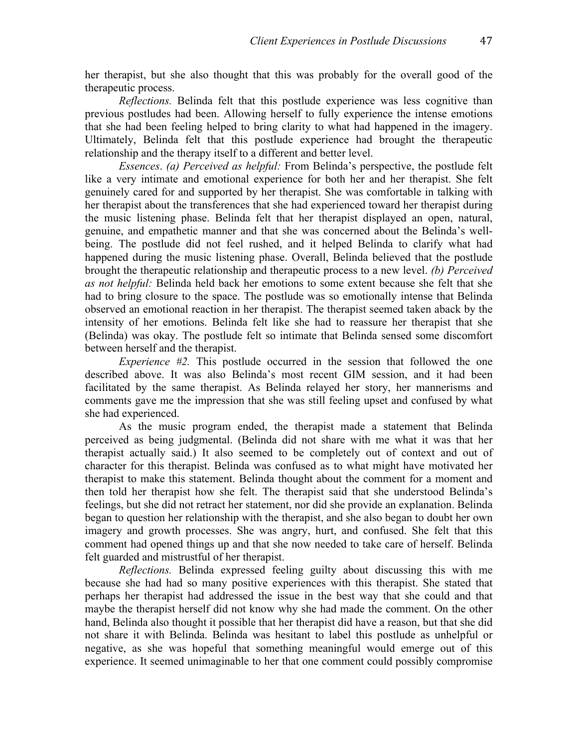her therapist, but she also thought that this was probably for the overall good of the therapeutic process.

*Reflections.* Belinda felt that this postlude experience was less cognitive than previous postludes had been. Allowing herself to fully experience the intense emotions that she had been feeling helped to bring clarity to what had happened in the imagery. Ultimately, Belinda felt that this postlude experience had brought the therapeutic relationship and the therapy itself to a different and better level.

*Essences*. *(a) Perceived as helpful:* From Belinda's perspective, the postlude felt like a very intimate and emotional experience for both her and her therapist. She felt genuinely cared for and supported by her therapist. She was comfortable in talking with her therapist about the transferences that she had experienced toward her therapist during the music listening phase. Belinda felt that her therapist displayed an open, natural, genuine, and empathetic manner and that she was concerned about the Belinda's wellbeing. The postlude did not feel rushed, and it helped Belinda to clarify what had happened during the music listening phase. Overall, Belinda believed that the postlude brought the therapeutic relationship and therapeutic process to a new level. *(b) Perceived as not helpful:* Belinda held back her emotions to some extent because she felt that she had to bring closure to the space. The postlude was so emotionally intense that Belinda observed an emotional reaction in her therapist. The therapist seemed taken aback by the intensity of her emotions. Belinda felt like she had to reassure her therapist that she (Belinda) was okay. The postlude felt so intimate that Belinda sensed some discomfort between herself and the therapist.

*Experience #2.* This postlude occurred in the session that followed the one described above. It was also Belinda's most recent GIM session, and it had been facilitated by the same therapist. As Belinda relayed her story, her mannerisms and comments gave me the impression that she was still feeling upset and confused by what she had experienced.

As the music program ended, the therapist made a statement that Belinda perceived as being judgmental. (Belinda did not share with me what it was that her therapist actually said.) It also seemed to be completely out of context and out of character for this therapist. Belinda was confused as to what might have motivated her therapist to make this statement. Belinda thought about the comment for a moment and then told her therapist how she felt. The therapist said that she understood Belinda's feelings, but she did not retract her statement, nor did she provide an explanation. Belinda began to question her relationship with the therapist, and she also began to doubt her own imagery and growth processes. She was angry, hurt, and confused. She felt that this comment had opened things up and that she now needed to take care of herself. Belinda felt guarded and mistrustful of her therapist.

*Reflections.* Belinda expressed feeling guilty about discussing this with me because she had had so many positive experiences with this therapist. She stated that perhaps her therapist had addressed the issue in the best way that she could and that maybe the therapist herself did not know why she had made the comment. On the other hand, Belinda also thought it possible that her therapist did have a reason, but that she did not share it with Belinda. Belinda was hesitant to label this postlude as unhelpful or negative, as she was hopeful that something meaningful would emerge out of this experience. It seemed unimaginable to her that one comment could possibly compromise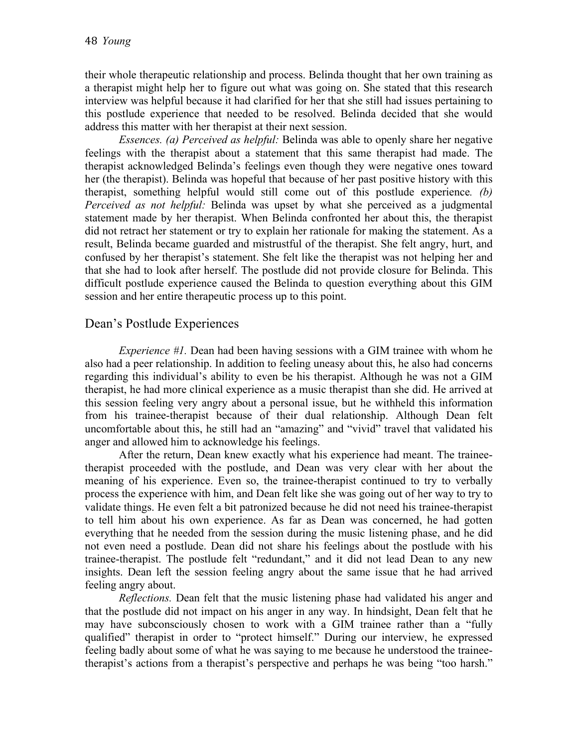their whole therapeutic relationship and process. Belinda thought that her own training as a therapist might help her to figure out what was going on. She stated that this research interview was helpful because it had clarified for her that she still had issues pertaining to this postlude experience that needed to be resolved. Belinda decided that she would address this matter with her therapist at their next session.

*Essences. (a) Perceived as helpful:* Belinda was able to openly share her negative feelings with the therapist about a statement that this same therapist had made. The therapist acknowledged Belinda's feelings even though they were negative ones toward her (the therapist). Belinda was hopeful that because of her past positive history with this therapist, something helpful would still come out of this postlude experience*. (b) Perceived as not helpful:* Belinda was upset by what she perceived as a judgmental statement made by her therapist. When Belinda confronted her about this, the therapist did not retract her statement or try to explain her rationale for making the statement. As a result, Belinda became guarded and mistrustful of the therapist. She felt angry, hurt, and confused by her therapist's statement. She felt like the therapist was not helping her and that she had to look after herself. The postlude did not provide closure for Belinda. This difficult postlude experience caused the Belinda to question everything about this GIM session and her entire therapeutic process up to this point.

### Dean's Postlude Experiences

*Experience #1.* Dean had been having sessions with a GIM trainee with whom he also had a peer relationship. In addition to feeling uneasy about this, he also had concerns regarding this individual's ability to even be his therapist. Although he was not a GIM therapist, he had more clinical experience as a music therapist than she did. He arrived at this session feeling very angry about a personal issue, but he withheld this information from his trainee-therapist because of their dual relationship. Although Dean felt uncomfortable about this, he still had an "amazing" and "vivid" travel that validated his anger and allowed him to acknowledge his feelings.

After the return, Dean knew exactly what his experience had meant. The traineetherapist proceeded with the postlude, and Dean was very clear with her about the meaning of his experience. Even so, the trainee-therapist continued to try to verbally process the experience with him, and Dean felt like she was going out of her way to try to validate things. He even felt a bit patronized because he did not need his trainee-therapist to tell him about his own experience. As far as Dean was concerned, he had gotten everything that he needed from the session during the music listening phase, and he did not even need a postlude. Dean did not share his feelings about the postlude with his trainee-therapist. The postlude felt "redundant," and it did not lead Dean to any new insights. Dean left the session feeling angry about the same issue that he had arrived feeling angry about.

*Reflections.* Dean felt that the music listening phase had validated his anger and that the postlude did not impact on his anger in any way. In hindsight, Dean felt that he may have subconsciously chosen to work with a GIM trainee rather than a "fully qualified" therapist in order to "protect himself." During our interview, he expressed feeling badly about some of what he was saying to me because he understood the traineetherapist's actions from a therapist's perspective and perhaps he was being "too harsh."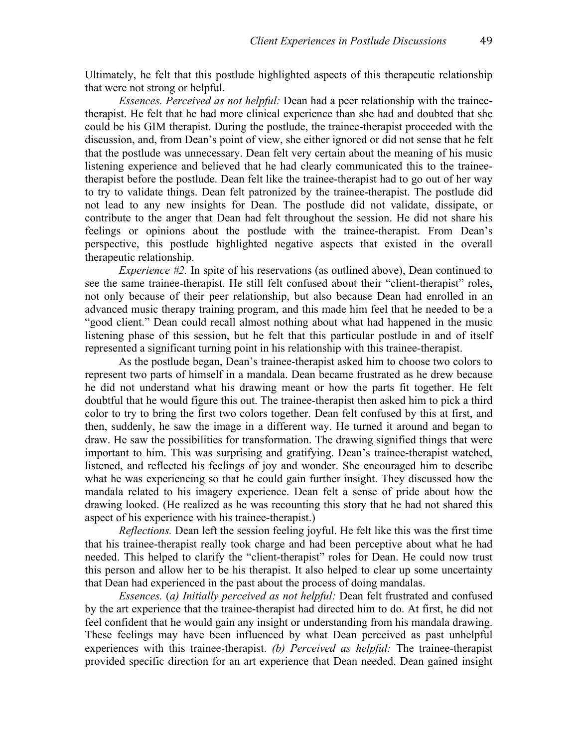Ultimately, he felt that this postlude highlighted aspects of this therapeutic relationship that were not strong or helpful.

*Essences. Perceived as not helpful:* Dean had a peer relationship with the traineetherapist. He felt that he had more clinical experience than she had and doubted that she could be his GIM therapist. During the postlude, the trainee-therapist proceeded with the discussion, and, from Dean's point of view, she either ignored or did not sense that he felt that the postlude was unnecessary. Dean felt very certain about the meaning of his music listening experience and believed that he had clearly communicated this to the traineetherapist before the postlude. Dean felt like the trainee-therapist had to go out of her way to try to validate things. Dean felt patronized by the trainee-therapist. The postlude did not lead to any new insights for Dean. The postlude did not validate, dissipate, or contribute to the anger that Dean had felt throughout the session. He did not share his feelings or opinions about the postlude with the trainee-therapist. From Dean's perspective, this postlude highlighted negative aspects that existed in the overall therapeutic relationship.

*Experience #2.* In spite of his reservations (as outlined above), Dean continued to see the same trainee-therapist. He still felt confused about their "client-therapist" roles, not only because of their peer relationship, but also because Dean had enrolled in an advanced music therapy training program, and this made him feel that he needed to be a "good client." Dean could recall almost nothing about what had happened in the music listening phase of this session, but he felt that this particular postlude in and of itself represented a significant turning point in his relationship with this trainee-therapist.

As the postlude began, Dean's trainee-therapist asked him to choose two colors to represent two parts of himself in a mandala. Dean became frustrated as he drew because he did not understand what his drawing meant or how the parts fit together. He felt doubtful that he would figure this out. The trainee-therapist then asked him to pick a third color to try to bring the first two colors together. Dean felt confused by this at first, and then, suddenly, he saw the image in a different way. He turned it around and began to draw. He saw the possibilities for transformation. The drawing signified things that were important to him. This was surprising and gratifying. Dean's trainee-therapist watched, listened, and reflected his feelings of joy and wonder. She encouraged him to describe what he was experiencing so that he could gain further insight. They discussed how the mandala related to his imagery experience. Dean felt a sense of pride about how the drawing looked. (He realized as he was recounting this story that he had not shared this aspect of his experience with his trainee-therapist.)

*Reflections.* Dean left the session feeling joyful. He felt like this was the first time that his trainee-therapist really took charge and had been perceptive about what he had needed. This helped to clarify the "client-therapist" roles for Dean. He could now trust this person and allow her to be his therapist. It also helped to clear up some uncertainty that Dean had experienced in the past about the process of doing mandalas.

*Essences.* (*a) Initially perceived as not helpful:* Dean felt frustrated and confused by the art experience that the trainee-therapist had directed him to do. At first, he did not feel confident that he would gain any insight or understanding from his mandala drawing. These feelings may have been influenced by what Dean perceived as past unhelpful experiences with this trainee-therapist. *(b) Perceived as helpful:* The trainee-therapist provided specific direction for an art experience that Dean needed. Dean gained insight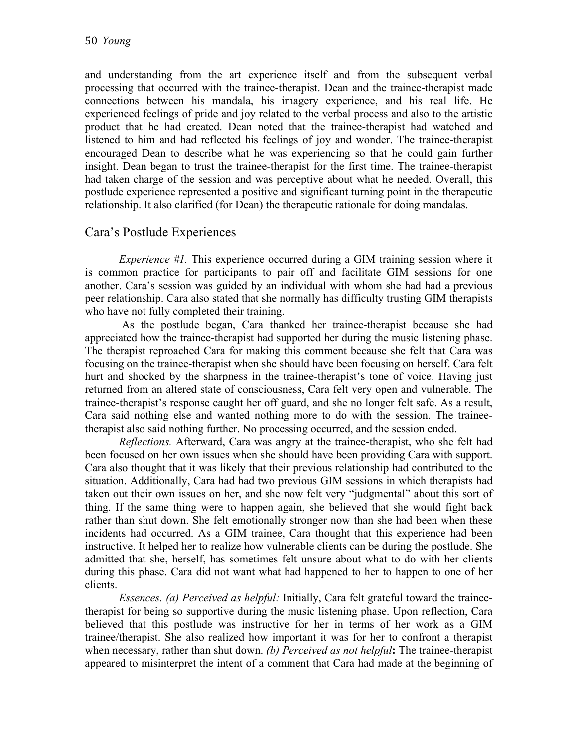and understanding from the art experience itself and from the subsequent verbal processing that occurred with the trainee-therapist. Dean and the trainee-therapist made connections between his mandala, his imagery experience, and his real life. He experienced feelings of pride and joy related to the verbal process and also to the artistic product that he had created. Dean noted that the trainee-therapist had watched and listened to him and had reflected his feelings of joy and wonder. The trainee-therapist encouraged Dean to describe what he was experiencing so that he could gain further insight. Dean began to trust the trainee-therapist for the first time. The trainee-therapist had taken charge of the session and was perceptive about what he needed. Overall, this postlude experience represented a positive and significant turning point in the therapeutic relationship. It also clarified (for Dean) the therapeutic rationale for doing mandalas.

### Cara's Postlude Experiences

*Experience #1.* This experience occurred during a GIM training session where it is common practice for participants to pair off and facilitate GIM sessions for one another. Cara's session was guided by an individual with whom she had had a previous peer relationship. Cara also stated that she normally has difficulty trusting GIM therapists who have not fully completed their training.

As the postlude began, Cara thanked her trainee-therapist because she had appreciated how the trainee-therapist had supported her during the music listening phase. The therapist reproached Cara for making this comment because she felt that Cara was focusing on the trainee-therapist when she should have been focusing on herself. Cara felt hurt and shocked by the sharpness in the trainee-therapist's tone of voice. Having just returned from an altered state of consciousness, Cara felt very open and vulnerable. The trainee-therapist's response caught her off guard, and she no longer felt safe. As a result, Cara said nothing else and wanted nothing more to do with the session. The traineetherapist also said nothing further. No processing occurred, and the session ended.

*Reflections.* Afterward, Cara was angry at the trainee-therapist, who she felt had been focused on her own issues when she should have been providing Cara with support. Cara also thought that it was likely that their previous relationship had contributed to the situation. Additionally, Cara had had two previous GIM sessions in which therapists had taken out their own issues on her, and she now felt very "judgmental" about this sort of thing. If the same thing were to happen again, she believed that she would fight back rather than shut down. She felt emotionally stronger now than she had been when these incidents had occurred. As a GIM trainee, Cara thought that this experience had been instructive. It helped her to realize how vulnerable clients can be during the postlude. She admitted that she, herself, has sometimes felt unsure about what to do with her clients during this phase. Cara did not want what had happened to her to happen to one of her clients.

*Essences. (a) Perceived as helpful:* Initially, Cara felt grateful toward the traineetherapist for being so supportive during the music listening phase. Upon reflection, Cara believed that this postlude was instructive for her in terms of her work as a GIM trainee/therapist. She also realized how important it was for her to confront a therapist when necessary, rather than shut down. *(b) Perceived as not helpful***:** The trainee-therapist appeared to misinterpret the intent of a comment that Cara had made at the beginning of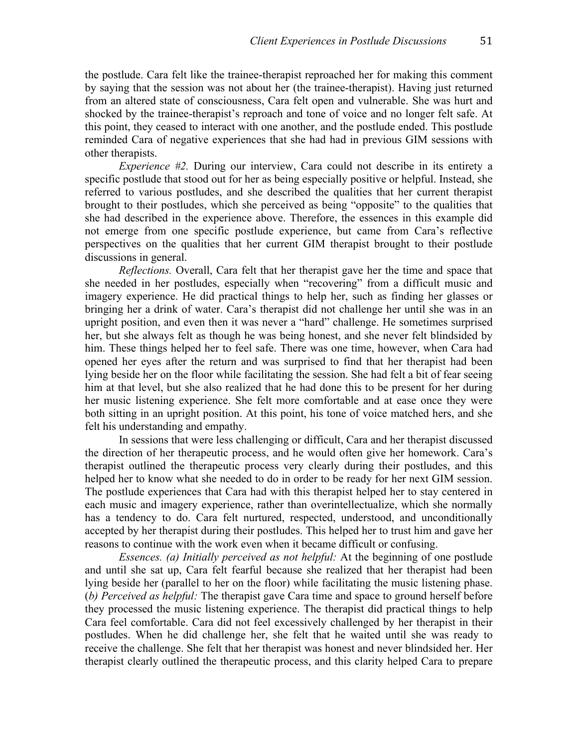the postlude. Cara felt like the trainee-therapist reproached her for making this comment by saying that the session was not about her (the trainee-therapist). Having just returned from an altered state of consciousness, Cara felt open and vulnerable. She was hurt and shocked by the trainee-therapist's reproach and tone of voice and no longer felt safe. At this point, they ceased to interact with one another, and the postlude ended. This postlude reminded Cara of negative experiences that she had had in previous GIM sessions with other therapists.

*Experience #2.* During our interview, Cara could not describe in its entirety a specific postlude that stood out for her as being especially positive or helpful. Instead, she referred to various postludes, and she described the qualities that her current therapist brought to their postludes, which she perceived as being "opposite" to the qualities that she had described in the experience above. Therefore, the essences in this example did not emerge from one specific postlude experience, but came from Cara's reflective perspectives on the qualities that her current GIM therapist brought to their postlude discussions in general.

*Reflections.* Overall, Cara felt that her therapist gave her the time and space that she needed in her postludes, especially when "recovering" from a difficult music and imagery experience. He did practical things to help her, such as finding her glasses or bringing her a drink of water. Cara's therapist did not challenge her until she was in an upright position, and even then it was never a "hard" challenge. He sometimes surprised her, but she always felt as though he was being honest, and she never felt blindsided by him. These things helped her to feel safe. There was one time, however, when Cara had opened her eyes after the return and was surprised to find that her therapist had been lying beside her on the floor while facilitating the session. She had felt a bit of fear seeing him at that level, but she also realized that he had done this to be present for her during her music listening experience. She felt more comfortable and at ease once they were both sitting in an upright position. At this point, his tone of voice matched hers, and she felt his understanding and empathy.

In sessions that were less challenging or difficult, Cara and her therapist discussed the direction of her therapeutic process, and he would often give her homework. Cara's therapist outlined the therapeutic process very clearly during their postludes, and this helped her to know what she needed to do in order to be ready for her next GIM session. The postlude experiences that Cara had with this therapist helped her to stay centered in each music and imagery experience, rather than overintellectualize, which she normally has a tendency to do. Cara felt nurtured, respected, understood, and unconditionally accepted by her therapist during their postludes. This helped her to trust him and gave her reasons to continue with the work even when it became difficult or confusing.

*Essences. (a) Initially perceived as not helpful:* At the beginning of one postlude and until she sat up, Cara felt fearful because she realized that her therapist had been lying beside her (parallel to her on the floor) while facilitating the music listening phase. (*b) Perceived as helpful:* The therapist gave Cara time and space to ground herself before they processed the music listening experience. The therapist did practical things to help Cara feel comfortable. Cara did not feel excessively challenged by her therapist in their postludes. When he did challenge her, she felt that he waited until she was ready to receive the challenge. She felt that her therapist was honest and never blindsided her. Her therapist clearly outlined the therapeutic process, and this clarity helped Cara to prepare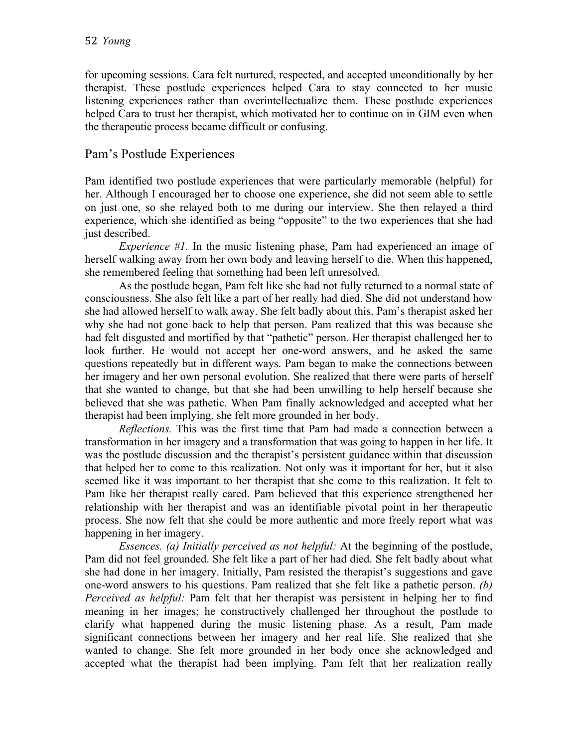for upcoming sessions. Cara felt nurtured, respected, and accepted unconditionally by her therapist. These postlude experiences helped Cara to stay connected to her music listening experiences rather than overintellectualize them. These postlude experiences helped Cara to trust her therapist, which motivated her to continue on in GIM even when the therapeutic process became difficult or confusing.

### Pam's Postlude Experiences

Pam identified two postlude experiences that were particularly memorable (helpful) for her. Although I encouraged her to choose one experience, she did not seem able to settle on just one, so she relayed both to me during our interview. She then relayed a third experience, which she identified as being "opposite" to the two experiences that she had just described.

*Experience #1*. In the music listening phase, Pam had experienced an image of herself walking away from her own body and leaving herself to die. When this happened, she remembered feeling that something had been left unresolved.

As the postlude began, Pam felt like she had not fully returned to a normal state of consciousness. She also felt like a part of her really had died. She did not understand how she had allowed herself to walk away. She felt badly about this. Pam's therapist asked her why she had not gone back to help that person. Pam realized that this was because she had felt disgusted and mortified by that "pathetic" person. Her therapist challenged her to look further. He would not accept her one-word answers, and he asked the same questions repeatedly but in different ways. Pam began to make the connections between her imagery and her own personal evolution. She realized that there were parts of herself that she wanted to change, but that she had been unwilling to help herself because she believed that she was pathetic. When Pam finally acknowledged and accepted what her therapist had been implying, she felt more grounded in her body.

*Reflections.* This was the first time that Pam had made a connection between a transformation in her imagery and a transformation that was going to happen in her life. It was the postlude discussion and the therapist's persistent guidance within that discussion that helped her to come to this realization. Not only was it important for her, but it also seemed like it was important to her therapist that she come to this realization. It felt to Pam like her therapist really cared. Pam believed that this experience strengthened her relationship with her therapist and was an identifiable pivotal point in her therapeutic process. She now felt that she could be more authentic and more freely report what was happening in her imagery.

*Essences. (a) Initially perceived as not helpful:* At the beginning of the postlude, Pam did not feel grounded. She felt like a part of her had died. She felt badly about what she had done in her imagery. Initially, Pam resisted the therapist's suggestions and gave one-word answers to his questions. Pam realized that she felt like a pathetic person. *(b) Perceived as helpful:* Pam felt that her therapist was persistent in helping her to find meaning in her images; he constructively challenged her throughout the postlude to clarify what happened during the music listening phase. As a result, Pam made significant connections between her imagery and her real life. She realized that she wanted to change. She felt more grounded in her body once she acknowledged and accepted what the therapist had been implying. Pam felt that her realization really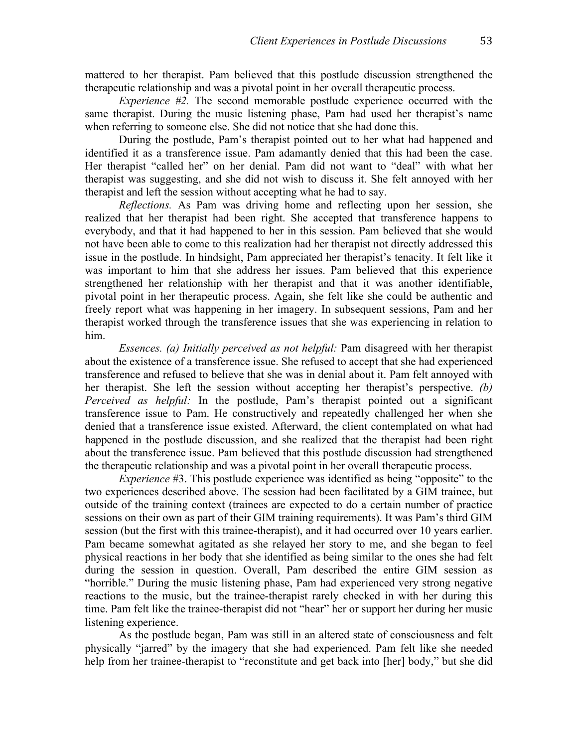mattered to her therapist. Pam believed that this postlude discussion strengthened the therapeutic relationship and was a pivotal point in her overall therapeutic process.

*Experience #2.* The second memorable postlude experience occurred with the same therapist. During the music listening phase, Pam had used her therapist's name when referring to someone else. She did not notice that she had done this.

During the postlude, Pam's therapist pointed out to her what had happened and identified it as a transference issue. Pam adamantly denied that this had been the case. Her therapist "called her" on her denial. Pam did not want to "deal" with what her therapist was suggesting, and she did not wish to discuss it. She felt annoyed with her therapist and left the session without accepting what he had to say.

*Reflections.* As Pam was driving home and reflecting upon her session, she realized that her therapist had been right. She accepted that transference happens to everybody, and that it had happened to her in this session. Pam believed that she would not have been able to come to this realization had her therapist not directly addressed this issue in the postlude. In hindsight, Pam appreciated her therapist's tenacity. It felt like it was important to him that she address her issues. Pam believed that this experience strengthened her relationship with her therapist and that it was another identifiable, pivotal point in her therapeutic process. Again, she felt like she could be authentic and freely report what was happening in her imagery. In subsequent sessions, Pam and her therapist worked through the transference issues that she was experiencing in relation to him.

*Essences. (a) Initially perceived as not helpful:* Pam disagreed with her therapist about the existence of a transference issue. She refused to accept that she had experienced transference and refused to believe that she was in denial about it. Pam felt annoyed with her therapist. She left the session without accepting her therapist's perspective. *(b) Perceived as helpful:* In the postlude, Pam's therapist pointed out a significant transference issue to Pam. He constructively and repeatedly challenged her when she denied that a transference issue existed. Afterward, the client contemplated on what had happened in the postlude discussion, and she realized that the therapist had been right about the transference issue. Pam believed that this postlude discussion had strengthened the therapeutic relationship and was a pivotal point in her overall therapeutic process.

*Experience* #3. This postlude experience was identified as being "opposite" to the two experiences described above. The session had been facilitated by a GIM trainee, but outside of the training context (trainees are expected to do a certain number of practice sessions on their own as part of their GIM training requirements). It was Pam's third GIM session (but the first with this trainee-therapist), and it had occurred over 10 years earlier. Pam became somewhat agitated as she relayed her story to me, and she began to feel physical reactions in her body that she identified as being similar to the ones she had felt during the session in question. Overall, Pam described the entire GIM session as "horrible." During the music listening phase, Pam had experienced very strong negative reactions to the music, but the trainee-therapist rarely checked in with her during this time. Pam felt like the trainee-therapist did not "hear" her or support her during her music listening experience.

As the postlude began, Pam was still in an altered state of consciousness and felt physically "jarred" by the imagery that she had experienced. Pam felt like she needed help from her trainee-therapist to "reconstitute and get back into [her] body," but she did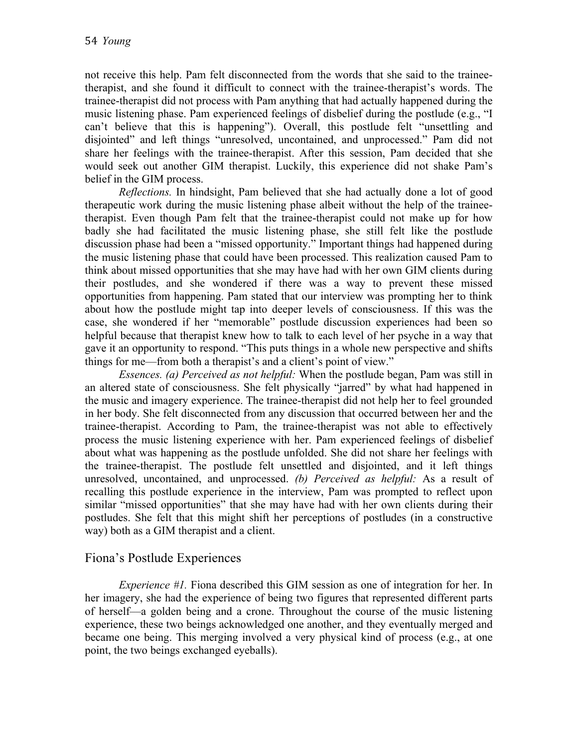not receive this help. Pam felt disconnected from the words that she said to the traineetherapist, and she found it difficult to connect with the trainee-therapist's words. The trainee-therapist did not process with Pam anything that had actually happened during the music listening phase. Pam experienced feelings of disbelief during the postlude (e.g., "I can't believe that this is happening"). Overall, this postlude felt "unsettling and disjointed" and left things "unresolved, uncontained, and unprocessed." Pam did not share her feelings with the trainee-therapist. After this session, Pam decided that she would seek out another GIM therapist. Luckily, this experience did not shake Pam's belief in the GIM process.

*Reflections.* In hindsight, Pam believed that she had actually done a lot of good therapeutic work during the music listening phase albeit without the help of the traineetherapist. Even though Pam felt that the trainee-therapist could not make up for how badly she had facilitated the music listening phase, she still felt like the postlude discussion phase had been a "missed opportunity." Important things had happened during the music listening phase that could have been processed. This realization caused Pam to think about missed opportunities that she may have had with her own GIM clients during their postludes, and she wondered if there was a way to prevent these missed opportunities from happening. Pam stated that our interview was prompting her to think about how the postlude might tap into deeper levels of consciousness. If this was the case, she wondered if her "memorable" postlude discussion experiences had been so helpful because that therapist knew how to talk to each level of her psyche in a way that gave it an opportunity to respond. "This puts things in a whole new perspective and shifts things for me––from both a therapist's and a client's point of view."

*Essences. (a) Perceived as not helpful:* When the postlude began, Pam was still in an altered state of consciousness. She felt physically "jarred" by what had happened in the music and imagery experience. The trainee-therapist did not help her to feel grounded in her body. She felt disconnected from any discussion that occurred between her and the trainee-therapist. According to Pam, the trainee-therapist was not able to effectively process the music listening experience with her. Pam experienced feelings of disbelief about what was happening as the postlude unfolded. She did not share her feelings with the trainee-therapist. The postlude felt unsettled and disjointed, and it left things unresolved, uncontained, and unprocessed. *(b) Perceived as helpful:* As a result of recalling this postlude experience in the interview, Pam was prompted to reflect upon similar "missed opportunities" that she may have had with her own clients during their postludes. She felt that this might shift her perceptions of postludes (in a constructive way) both as a GIM therapist and a client.

### Fiona's Postlude Experiences

*Experience #1.* Fiona described this GIM session as one of integration for her. In her imagery, she had the experience of being two figures that represented different parts of herself––a golden being and a crone. Throughout the course of the music listening experience, these two beings acknowledged one another, and they eventually merged and became one being. This merging involved a very physical kind of process (e.g., at one point, the two beings exchanged eyeballs).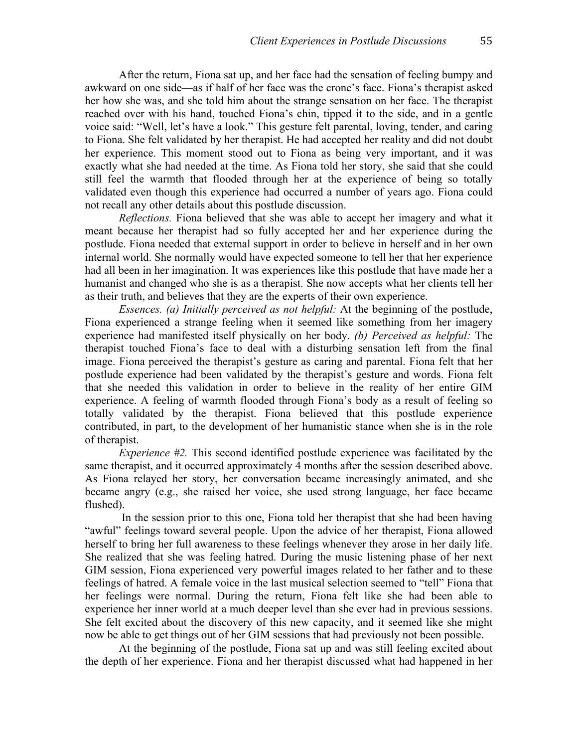After the return, Fiona sat up, and her face had the sensation of feeling bumpy and awkward on one side––as if half of her face was the crone's face. Fiona's therapist asked her how she was, and she told him about the strange sensation on her face. The therapist reached over with his hand, touched Fiona's chin, tipped it to the side, and in a gentle voice said: "Well, let's have a look." This gesture felt parental, loving, tender, and caring to Fiona. She felt validated by her therapist. He had accepted her reality and did not doubt her experience. This moment stood out to Fiona as being very important, and it was exactly what she had needed at the time. As Fiona told her story, she said that she could still feel the warmth that flooded through her at the experience of being so totally validated even though this experience had occurred a number of years ago. Fiona could not recall any other details about this postlude discussion.

*Reflections.* Fiona believed that she was able to accept her imagery and what it meant because her therapist had so fully accepted her and her experience during the postlude. Fiona needed that external support in order to believe in herself and in her own internal world. She normally would have expected someone to tell her that her experience had all been in her imagination. It was experiences like this postlude that have made her a humanist and changed who she is as a therapist. She now accepts what her clients tell her as their truth, and believes that they are the experts of their own experience.

*Essences. (a) Initially perceived as not helpful:* At the beginning of the postlude, Fiona experienced a strange feeling when it seemed like something from her imagery experience had manifested itself physically on her body. *(b) Perceived as helpful:* The therapist touched Fiona's face to deal with a disturbing sensation left from the final image. Fiona perceived the therapist's gesture as caring and parental. Fiona felt that her postlude experience had been validated by the therapist's gesture and words. Fiona felt that she needed this validation in order to believe in the reality of her entire GIM experience. A feeling of warmth flooded through Fiona's body as a result of feeling so totally validated by the therapist. Fiona believed that this postlude experience contributed, in part, to the development of her humanistic stance when she is in the role of therapist.

*Experience #2.* This second identified postlude experience was facilitated by the same therapist, and it occurred approximately 4 months after the session described above. As Fiona relayed her story, her conversation became increasingly animated, and she became angry (e.g., she raised her voice, she used strong language, her face became flushed).

In the session prior to this one, Fiona told her therapist that she had been having "awful" feelings toward several people. Upon the advice of her therapist, Fiona allowed herself to bring her full awareness to these feelings whenever they arose in her daily life. She realized that she was feeling hatred. During the music listening phase of her next GIM session, Fiona experienced very powerful images related to her father and to these feelings of hatred. A female voice in the last musical selection seemed to "tell" Fiona that her feelings were normal. During the return, Fiona felt like she had been able to experience her inner world at a much deeper level than she ever had in previous sessions. She felt excited about the discovery of this new capacity, and it seemed like she might now be able to get things out of her GIM sessions that had previously not been possible.

At the beginning of the postlude, Fiona sat up and was still feeling excited about the depth of her experience. Fiona and her therapist discussed what had happened in her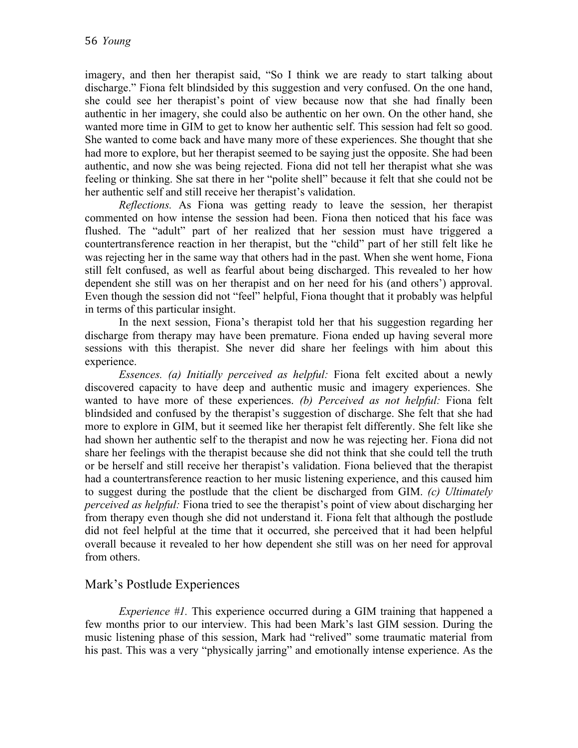imagery, and then her therapist said, "So I think we are ready to start talking about discharge." Fiona felt blindsided by this suggestion and very confused. On the one hand, she could see her therapist's point of view because now that she had finally been authentic in her imagery, she could also be authentic on her own. On the other hand, she wanted more time in GIM to get to know her authentic self. This session had felt so good. She wanted to come back and have many more of these experiences. She thought that she had more to explore, but her therapist seemed to be saying just the opposite. She had been authentic, and now she was being rejected. Fiona did not tell her therapist what she was feeling or thinking. She sat there in her "polite shell" because it felt that she could not be her authentic self and still receive her therapist's validation.

*Reflections.* As Fiona was getting ready to leave the session, her therapist commented on how intense the session had been. Fiona then noticed that his face was flushed. The "adult" part of her realized that her session must have triggered a countertransference reaction in her therapist, but the "child" part of her still felt like he was rejecting her in the same way that others had in the past. When she went home, Fiona still felt confused, as well as fearful about being discharged. This revealed to her how dependent she still was on her therapist and on her need for his (and others') approval. Even though the session did not "feel" helpful, Fiona thought that it probably was helpful in terms of this particular insight.

In the next session, Fiona's therapist told her that his suggestion regarding her discharge from therapy may have been premature. Fiona ended up having several more sessions with this therapist. She never did share her feelings with him about this experience.

*Essences. (a) Initially perceived as helpful:* Fiona felt excited about a newly discovered capacity to have deep and authentic music and imagery experiences. She wanted to have more of these experiences. *(b) Perceived as not helpful:* Fiona felt blindsided and confused by the therapist's suggestion of discharge. She felt that she had more to explore in GIM, but it seemed like her therapist felt differently. She felt like she had shown her authentic self to the therapist and now he was rejecting her. Fiona did not share her feelings with the therapist because she did not think that she could tell the truth or be herself and still receive her therapist's validation. Fiona believed that the therapist had a countertransference reaction to her music listening experience, and this caused him to suggest during the postlude that the client be discharged from GIM. *(c) Ultimately perceived as helpful:* Fiona tried to see the therapist's point of view about discharging her from therapy even though she did not understand it. Fiona felt that although the postlude did not feel helpful at the time that it occurred, she perceived that it had been helpful overall because it revealed to her how dependent she still was on her need for approval from others.

### Mark's Postlude Experiences

*Experience #1.* This experience occurred during a GIM training that happened a few months prior to our interview. This had been Mark's last GIM session. During the music listening phase of this session, Mark had "relived" some traumatic material from his past. This was a very "physically jarring" and emotionally intense experience. As the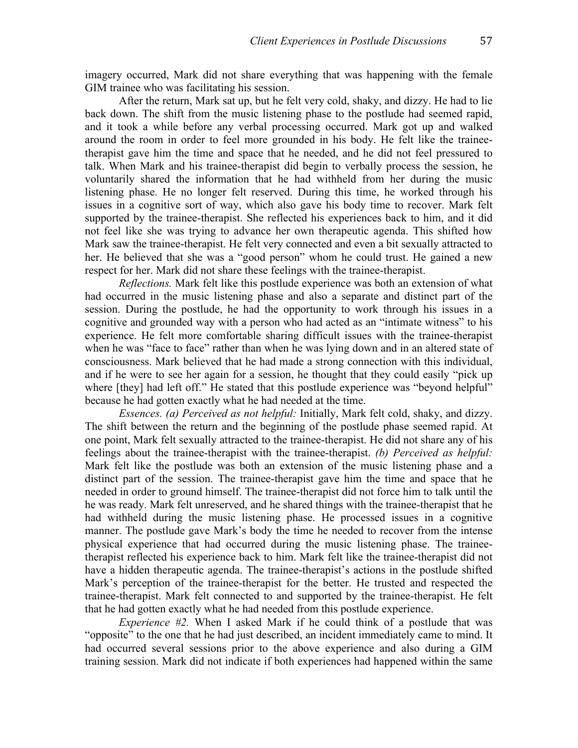imagery occurred, Mark did not share everything that was happening with the female GIM trainee who was facilitating his session.

After the return, Mark sat up, but he felt very cold, shaky, and dizzy. He had to lie back down. The shift from the music listening phase to the postlude had seemed rapid, and it took a while before any verbal processing occurred. Mark got up and walked around the room in order to feel more grounded in his body. He felt like the traineetherapist gave him the time and space that he needed, and he did not feel pressured to talk. When Mark and his trainee-therapist did begin to verbally process the session, he voluntarily shared the information that he had withheld from her during the music listening phase. He no longer felt reserved. During this time, he worked through his issues in a cognitive sort of way, which also gave his body time to recover. Mark felt supported by the trainee-therapist. She reflected his experiences back to him, and it did not feel like she was trying to advance her own therapeutic agenda. This shifted how Mark saw the trainee-therapist. He felt very connected and even a bit sexually attracted to her. He believed that she was a "good person" whom he could trust. He gained a new respect for her. Mark did not share these feelings with the trainee-therapist.

*Reflections.* Mark felt like this postlude experience was both an extension of what had occurred in the music listening phase and also a separate and distinct part of the session. During the postlude, he had the opportunity to work through his issues in a cognitive and grounded way with a person who had acted as an "intimate witness" to his experience. He felt more comfortable sharing difficult issues with the trainee-therapist when he was "face to face" rather than when he was lying down and in an altered state of consciousness. Mark believed that he had made a strong connection with this individual, and if he were to see her again for a session, he thought that they could easily "pick up where [they] had left off." He stated that this postlude experience was "beyond helpful" because he had gotten exactly what he had needed at the time.

*Essences. (a) Perceived as not helpful:* Initially, Mark felt cold, shaky, and dizzy. The shift between the return and the beginning of the postlude phase seemed rapid. At one point, Mark felt sexually attracted to the trainee-therapist. He did not share any of his feelings about the trainee-therapist with the trainee-therapist. *(b) Perceived as helpful:* Mark felt like the postlude was both an extension of the music listening phase and a distinct part of the session. The trainee-therapist gave him the time and space that he needed in order to ground himself. The trainee-therapist did not force him to talk until the he was ready. Mark felt unreserved, and he shared things with the trainee-therapist that he had withheld during the music listening phase. He processed issues in a cognitive manner. The postlude gave Mark's body the time he needed to recover from the intense physical experience that had occurred during the music listening phase. The traineetherapist reflected his experience back to him. Mark felt like the trainee-therapist did not have a hidden therapeutic agenda. The trainee-therapist's actions in the postlude shifted Mark's perception of the trainee-therapist for the better. He trusted and respected the trainee-therapist. Mark felt connected to and supported by the trainee-therapist. He felt that he had gotten exactly what he had needed from this postlude experience.

*Experience #2.* When I asked Mark if he could think of a postlude that was "opposite" to the one that he had just described, an incident immediately came to mind. It had occurred several sessions prior to the above experience and also during a GIM training session. Mark did not indicate if both experiences had happened within the same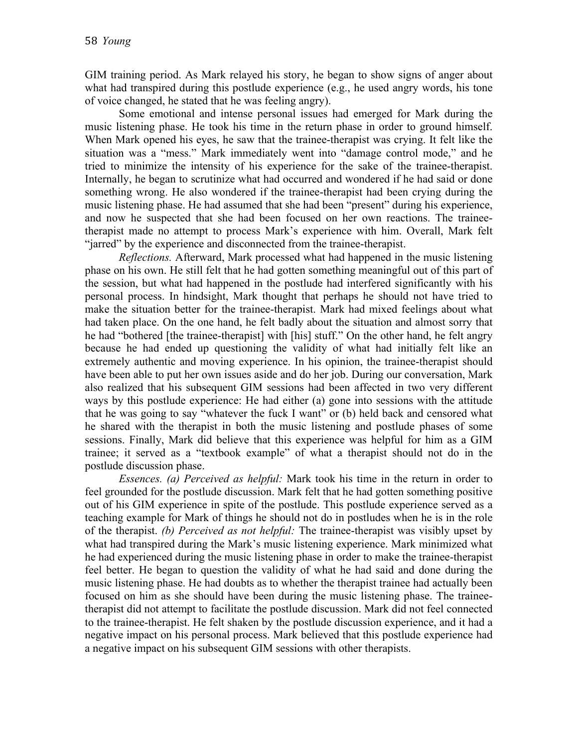GIM training period. As Mark relayed his story, he began to show signs of anger about what had transpired during this postlude experience (e.g., he used angry words, his tone of voice changed, he stated that he was feeling angry).

Some emotional and intense personal issues had emerged for Mark during the music listening phase. He took his time in the return phase in order to ground himself. When Mark opened his eyes, he saw that the trainee-therapist was crying. It felt like the situation was a "mess." Mark immediately went into "damage control mode," and he tried to minimize the intensity of his experience for the sake of the trainee-therapist. Internally, he began to scrutinize what had occurred and wondered if he had said or done something wrong. He also wondered if the trainee-therapist had been crying during the music listening phase. He had assumed that she had been "present" during his experience, and now he suspected that she had been focused on her own reactions. The traineetherapist made no attempt to process Mark's experience with him. Overall, Mark felt "jarred" by the experience and disconnected from the trainee-therapist.

*Reflections.* Afterward, Mark processed what had happened in the music listening phase on his own. He still felt that he had gotten something meaningful out of this part of the session, but what had happened in the postlude had interfered significantly with his personal process. In hindsight, Mark thought that perhaps he should not have tried to make the situation better for the trainee-therapist. Mark had mixed feelings about what had taken place. On the one hand, he felt badly about the situation and almost sorry that he had "bothered [the trainee-therapist] with [his] stuff." On the other hand, he felt angry because he had ended up questioning the validity of what had initially felt like an extremely authentic and moving experience. In his opinion, the trainee-therapist should have been able to put her own issues aside and do her job. During our conversation, Mark also realized that his subsequent GIM sessions had been affected in two very different ways by this postlude experience: He had either (a) gone into sessions with the attitude that he was going to say "whatever the fuck I want" or (b) held back and censored what he shared with the therapist in both the music listening and postlude phases of some sessions. Finally, Mark did believe that this experience was helpful for him as a GIM trainee; it served as a "textbook example" of what a therapist should not do in the postlude discussion phase.

*Essences. (a) Perceived as helpful:* Mark took his time in the return in order to feel grounded for the postlude discussion. Mark felt that he had gotten something positive out of his GIM experience in spite of the postlude. This postlude experience served as a teaching example for Mark of things he should not do in postludes when he is in the role of the therapist. *(b) Perceived as not helpful:* The trainee-therapist was visibly upset by what had transpired during the Mark's music listening experience. Mark minimized what he had experienced during the music listening phase in order to make the trainee-therapist feel better. He began to question the validity of what he had said and done during the music listening phase. He had doubts as to whether the therapist trainee had actually been focused on him as she should have been during the music listening phase. The traineetherapist did not attempt to facilitate the postlude discussion. Mark did not feel connected to the trainee-therapist. He felt shaken by the postlude discussion experience, and it had a negative impact on his personal process. Mark believed that this postlude experience had a negative impact on his subsequent GIM sessions with other therapists.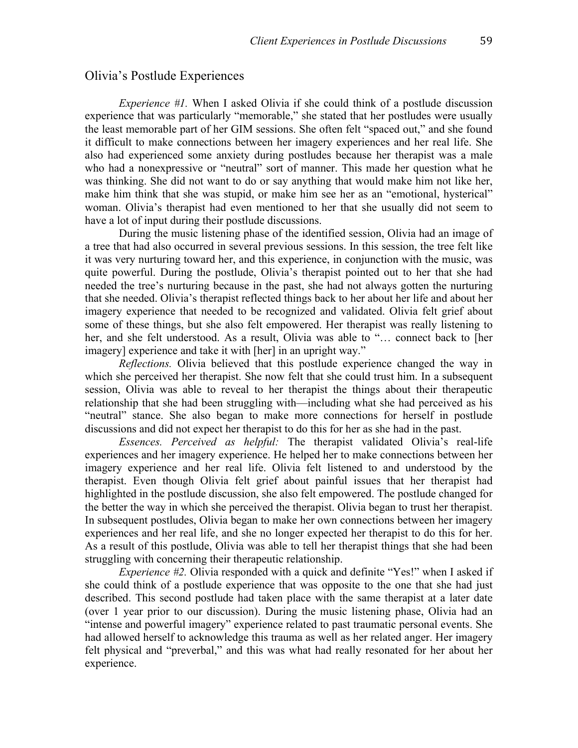#### Olivia's Postlude Experiences

*Experience #1.* When I asked Olivia if she could think of a postlude discussion experience that was particularly "memorable," she stated that her postludes were usually the least memorable part of her GIM sessions. She often felt "spaced out," and she found it difficult to make connections between her imagery experiences and her real life. She also had experienced some anxiety during postludes because her therapist was a male who had a nonexpressive or "neutral" sort of manner. This made her question what he was thinking. She did not want to do or say anything that would make him not like her, make him think that she was stupid, or make him see her as an "emotional, hysterical" woman. Olivia's therapist had even mentioned to her that she usually did not seem to have a lot of input during their postlude discussions.

During the music listening phase of the identified session, Olivia had an image of a tree that had also occurred in several previous sessions. In this session, the tree felt like it was very nurturing toward her, and this experience, in conjunction with the music, was quite powerful. During the postlude, Olivia's therapist pointed out to her that she had needed the tree's nurturing because in the past, she had not always gotten the nurturing that she needed. Olivia's therapist reflected things back to her about her life and about her imagery experience that needed to be recognized and validated. Olivia felt grief about some of these things, but she also felt empowered. Her therapist was really listening to her, and she felt understood. As a result, Olivia was able to "… connect back to [her imagery] experience and take it with [her] in an upright way."

*Reflections.* Olivia believed that this postlude experience changed the way in which she perceived her therapist. She now felt that she could trust him. In a subsequent session, Olivia was able to reveal to her therapist the things about their therapeutic relationship that she had been struggling with––including what she had perceived as his "neutral" stance. She also began to make more connections for herself in postlude discussions and did not expect her therapist to do this for her as she had in the past.

*Essences. Perceived as helpful:* The therapist validated Olivia's real-life experiences and her imagery experience. He helped her to make connections between her imagery experience and her real life. Olivia felt listened to and understood by the therapist. Even though Olivia felt grief about painful issues that her therapist had highlighted in the postlude discussion, she also felt empowered. The postlude changed for the better the way in which she perceived the therapist. Olivia began to trust her therapist. In subsequent postludes, Olivia began to make her own connections between her imagery experiences and her real life, and she no longer expected her therapist to do this for her. As a result of this postlude, Olivia was able to tell her therapist things that she had been struggling with concerning their therapeutic relationship.

*Experience #2.* Olivia responded with a quick and definite "Yes!" when I asked if she could think of a postlude experience that was opposite to the one that she had just described. This second postlude had taken place with the same therapist at a later date (over 1 year prior to our discussion). During the music listening phase, Olivia had an "intense and powerful imagery" experience related to past traumatic personal events. She had allowed herself to acknowledge this trauma as well as her related anger. Her imagery felt physical and "preverbal," and this was what had really resonated for her about her experience.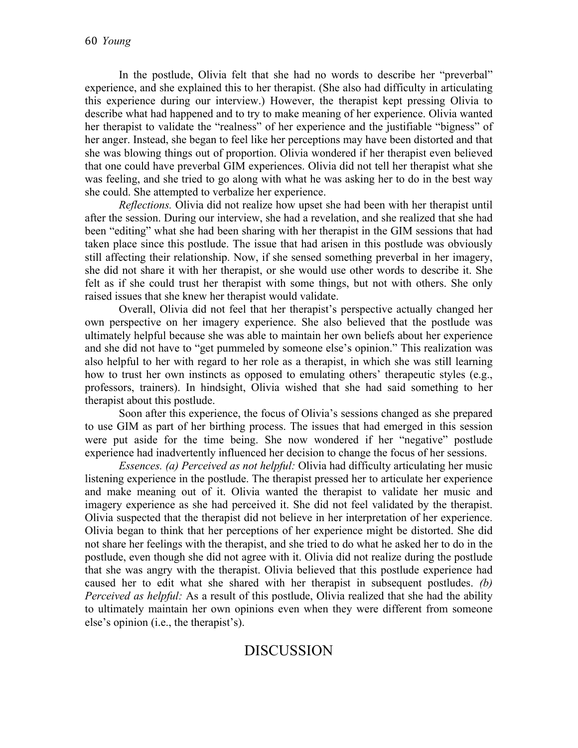In the postlude, Olivia felt that she had no words to describe her "preverbal" experience, and she explained this to her therapist. (She also had difficulty in articulating this experience during our interview.) However, the therapist kept pressing Olivia to describe what had happened and to try to make meaning of her experience. Olivia wanted her therapist to validate the "realness" of her experience and the justifiable "bigness" of her anger. Instead, she began to feel like her perceptions may have been distorted and that she was blowing things out of proportion. Olivia wondered if her therapist even believed that one could have preverbal GIM experiences. Olivia did not tell her therapist what she was feeling, and she tried to go along with what he was asking her to do in the best way she could. She attempted to verbalize her experience.

*Reflections.* Olivia did not realize how upset she had been with her therapist until after the session. During our interview, she had a revelation, and she realized that she had been "editing" what she had been sharing with her therapist in the GIM sessions that had taken place since this postlude. The issue that had arisen in this postlude was obviously still affecting their relationship. Now, if she sensed something preverbal in her imagery, she did not share it with her therapist, or she would use other words to describe it. She felt as if she could trust her therapist with some things, but not with others. She only raised issues that she knew her therapist would validate.

Overall, Olivia did not feel that her therapist's perspective actually changed her own perspective on her imagery experience. She also believed that the postlude was ultimately helpful because she was able to maintain her own beliefs about her experience and she did not have to "get pummeled by someone else's opinion." This realization was also helpful to her with regard to her role as a therapist, in which she was still learning how to trust her own instincts as opposed to emulating others' therapeutic styles (e.g., professors, trainers). In hindsight, Olivia wished that she had said something to her therapist about this postlude.

Soon after this experience, the focus of Olivia's sessions changed as she prepared to use GIM as part of her birthing process. The issues that had emerged in this session were put aside for the time being. She now wondered if her "negative" postlude experience had inadvertently influenced her decision to change the focus of her sessions.

*Essences. (a) Perceived as not helpful:* Olivia had difficulty articulating her music listening experience in the postlude. The therapist pressed her to articulate her experience and make meaning out of it. Olivia wanted the therapist to validate her music and imagery experience as she had perceived it. She did not feel validated by the therapist. Olivia suspected that the therapist did not believe in her interpretation of her experience. Olivia began to think that her perceptions of her experience might be distorted. She did not share her feelings with the therapist, and she tried to do what he asked her to do in the postlude, even though she did not agree with it. Olivia did not realize during the postlude that she was angry with the therapist. Olivia believed that this postlude experience had caused her to edit what she shared with her therapist in subsequent postludes. *(b) Perceived as helpful:* As a result of this postlude, Olivia realized that she had the ability to ultimately maintain her own opinions even when they were different from someone else's opinion (i.e., the therapist's).

# DISCUSSION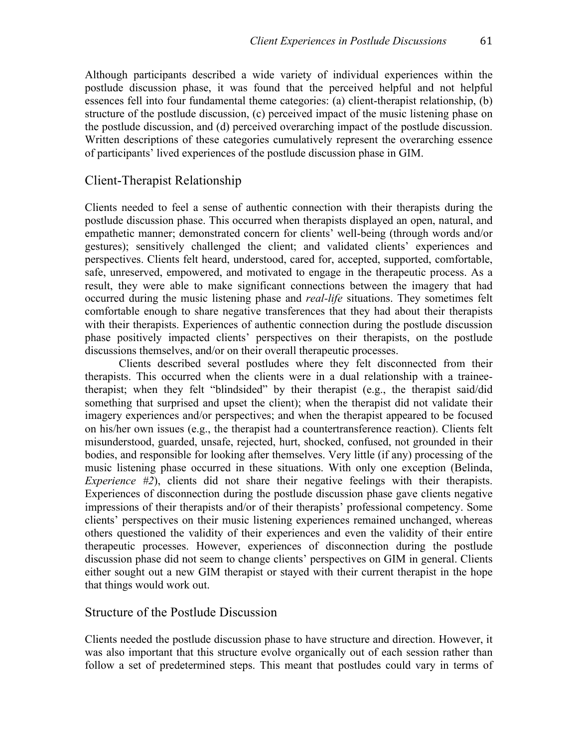Although participants described a wide variety of individual experiences within the postlude discussion phase, it was found that the perceived helpful and not helpful essences fell into four fundamental theme categories: (a) client-therapist relationship, (b) structure of the postlude discussion, (c) perceived impact of the music listening phase on the postlude discussion, and (d) perceived overarching impact of the postlude discussion. Written descriptions of these categories cumulatively represent the overarching essence of participants' lived experiences of the postlude discussion phase in GIM.

#### Client-Therapist Relationship

Clients needed to feel a sense of authentic connection with their therapists during the postlude discussion phase. This occurred when therapists displayed an open, natural, and empathetic manner; demonstrated concern for clients' well-being (through words and/or gestures); sensitively challenged the client; and validated clients' experiences and perspectives. Clients felt heard, understood, cared for, accepted, supported, comfortable, safe, unreserved, empowered, and motivated to engage in the therapeutic process. As a result, they were able to make significant connections between the imagery that had occurred during the music listening phase and *real-life* situations. They sometimes felt comfortable enough to share negative transferences that they had about their therapists with their therapists. Experiences of authentic connection during the postlude discussion phase positively impacted clients' perspectives on their therapists, on the postlude discussions themselves, and/or on their overall therapeutic processes.

Clients described several postludes where they felt disconnected from their therapists. This occurred when the clients were in a dual relationship with a traineetherapist; when they felt "blindsided" by their therapist (e.g., the therapist said/did something that surprised and upset the client); when the therapist did not validate their imagery experiences and/or perspectives; and when the therapist appeared to be focused on his/her own issues (e.g., the therapist had a countertransference reaction). Clients felt misunderstood, guarded, unsafe, rejected, hurt, shocked, confused, not grounded in their bodies, and responsible for looking after themselves. Very little (if any) processing of the music listening phase occurred in these situations. With only one exception (Belinda, *Experience #2*), clients did not share their negative feelings with their therapists. Experiences of disconnection during the postlude discussion phase gave clients negative impressions of their therapists and/or of their therapists' professional competency. Some clients' perspectives on their music listening experiences remained unchanged, whereas others questioned the validity of their experiences and even the validity of their entire therapeutic processes. However, experiences of disconnection during the postlude discussion phase did not seem to change clients' perspectives on GIM in general. Clients either sought out a new GIM therapist or stayed with their current therapist in the hope that things would work out.

#### Structure of the Postlude Discussion

Clients needed the postlude discussion phase to have structure and direction. However, it was also important that this structure evolve organically out of each session rather than follow a set of predetermined steps. This meant that postludes could vary in terms of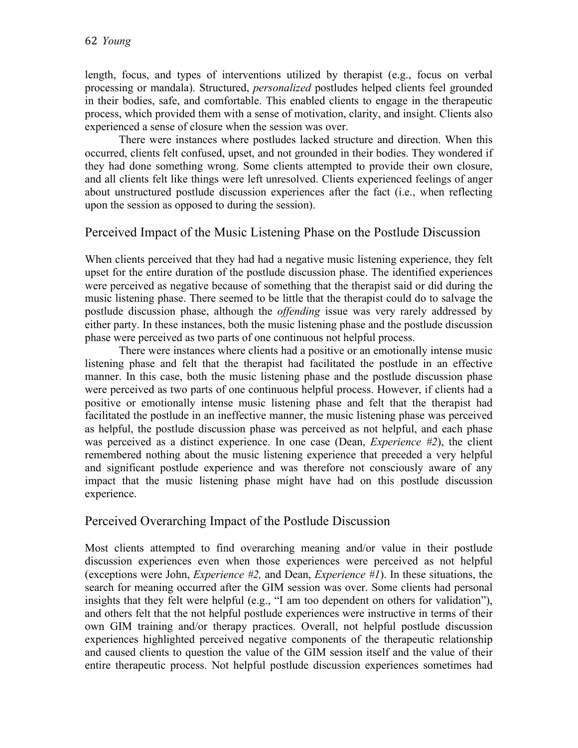length, focus, and types of interventions utilized by therapist (e.g., focus on verbal processing or mandala). Structured, *personalized* postludes helped clients feel grounded in their bodies, safe, and comfortable. This enabled clients to engage in the therapeutic process, which provided them with a sense of motivation, clarity, and insight. Clients also experienced a sense of closure when the session was over.

There were instances where postludes lacked structure and direction. When this occurred, clients felt confused, upset, and not grounded in their bodies. They wondered if they had done something wrong. Some clients attempted to provide their own closure, and all clients felt like things were left unresolved. Clients experienced feelings of anger about unstructured postlude discussion experiences after the fact (i.e., when reflecting upon the session as opposed to during the session).

### Perceived Impact of the Music Listening Phase on the Postlude Discussion

When clients perceived that they had had a negative music listening experience, they felt upset for the entire duration of the postlude discussion phase. The identified experiences were perceived as negative because of something that the therapist said or did during the music listening phase. There seemed to be little that the therapist could do to salvage the postlude discussion phase, although the *offending* issue was very rarely addressed by either party. In these instances, both the music listening phase and the postlude discussion phase were perceived as two parts of one continuous not helpful process.

There were instances where clients had a positive or an emotionally intense music listening phase and felt that the therapist had facilitated the postlude in an effective manner. In this case, both the music listening phase and the postlude discussion phase were perceived as two parts of one continuous helpful process. However, if clients had a positive or emotionally intense music listening phase and felt that the therapist had facilitated the postlude in an ineffective manner, the music listening phase was perceived as helpful, the postlude discussion phase was perceived as not helpful, and each phase was perceived as a distinct experience. In one case (Dean, *Experience #2*), the client remembered nothing about the music listening experience that preceded a very helpful and significant postlude experience and was therefore not consciously aware of any impact that the music listening phase might have had on this postlude discussion experience.

### Perceived Overarching Impact of the Postlude Discussion

Most clients attempted to find overarching meaning and/or value in their postlude discussion experiences even when those experiences were perceived as not helpful (exceptions were John, *Experience #2,* and Dean, *Experience #1*). In these situations, the search for meaning occurred after the GIM session was over. Some clients had personal insights that they felt were helpful (e.g., "I am too dependent on others for validation"), and others felt that the not helpful postlude experiences were instructive in terms of their own GIM training and/or therapy practices. Overall, not helpful postlude discussion experiences highlighted perceived negative components of the therapeutic relationship and caused clients to question the value of the GIM session itself and the value of their entire therapeutic process. Not helpful postlude discussion experiences sometimes had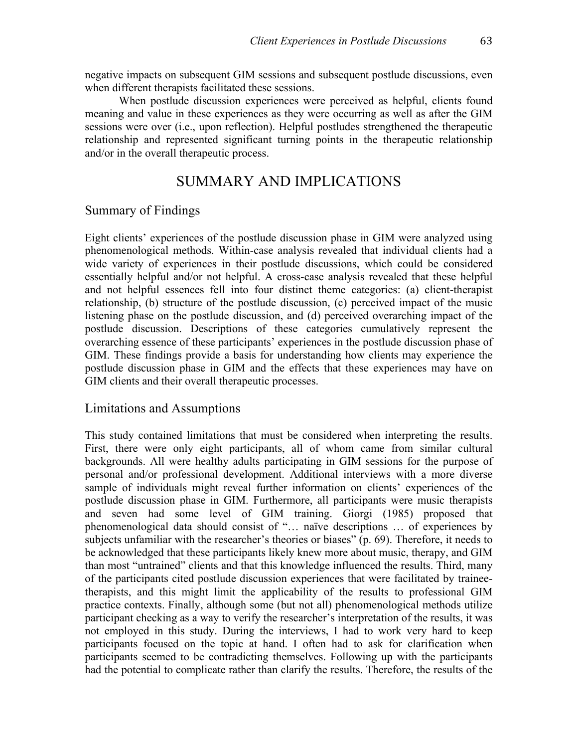negative impacts on subsequent GIM sessions and subsequent postlude discussions, even when different therapists facilitated these sessions.

When postlude discussion experiences were perceived as helpful, clients found meaning and value in these experiences as they were occurring as well as after the GIM sessions were over (i.e., upon reflection). Helpful postludes strengthened the therapeutic relationship and represented significant turning points in the therapeutic relationship and/or in the overall therapeutic process.

### SUMMARY AND IMPLICATIONS

#### Summary of Findings

Eight clients' experiences of the postlude discussion phase in GIM were analyzed using phenomenological methods. Within-case analysis revealed that individual clients had a wide variety of experiences in their postlude discussions, which could be considered essentially helpful and/or not helpful. A cross-case analysis revealed that these helpful and not helpful essences fell into four distinct theme categories: (a) client-therapist relationship, (b) structure of the postlude discussion, (c) perceived impact of the music listening phase on the postlude discussion, and (d) perceived overarching impact of the postlude discussion. Descriptions of these categories cumulatively represent the overarching essence of these participants' experiences in the postlude discussion phase of GIM. These findings provide a basis for understanding how clients may experience the postlude discussion phase in GIM and the effects that these experiences may have on GIM clients and their overall therapeutic processes.

#### Limitations and Assumptions

This study contained limitations that must be considered when interpreting the results. First, there were only eight participants, all of whom came from similar cultural backgrounds. All were healthy adults participating in GIM sessions for the purpose of personal and/or professional development. Additional interviews with a more diverse sample of individuals might reveal further information on clients' experiences of the postlude discussion phase in GIM. Furthermore, all participants were music therapists and seven had some level of GIM training. Giorgi (1985) proposed that phenomenological data should consist of "… naïve descriptions … of experiences by subjects unfamiliar with the researcher's theories or biases" (p. 69). Therefore, it needs to be acknowledged that these participants likely knew more about music, therapy, and GIM than most "untrained" clients and that this knowledge influenced the results. Third, many of the participants cited postlude discussion experiences that were facilitated by traineetherapists, and this might limit the applicability of the results to professional GIM practice contexts. Finally, although some (but not all) phenomenological methods utilize participant checking as a way to verify the researcher's interpretation of the results, it was not employed in this study. During the interviews, I had to work very hard to keep participants focused on the topic at hand. I often had to ask for clarification when participants seemed to be contradicting themselves. Following up with the participants had the potential to complicate rather than clarify the results. Therefore, the results of the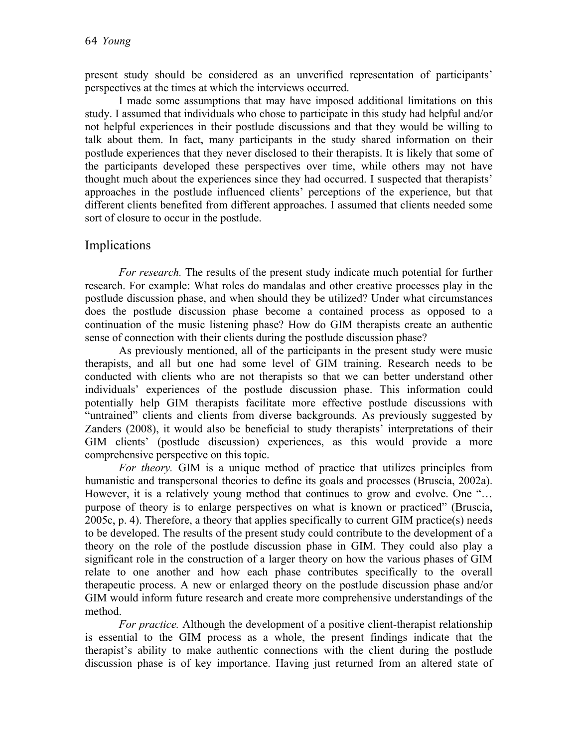present study should be considered as an unverified representation of participants' perspectives at the times at which the interviews occurred.

I made some assumptions that may have imposed additional limitations on this study. I assumed that individuals who chose to participate in this study had helpful and/or not helpful experiences in their postlude discussions and that they would be willing to talk about them. In fact, many participants in the study shared information on their postlude experiences that they never disclosed to their therapists. It is likely that some of the participants developed these perspectives over time, while others may not have thought much about the experiences since they had occurred. I suspected that therapists' approaches in the postlude influenced clients' perceptions of the experience, but that different clients benefited from different approaches. I assumed that clients needed some sort of closure to occur in the postlude.

### Implications

*For research.* The results of the present study indicate much potential for further research. For example: What roles do mandalas and other creative processes play in the postlude discussion phase, and when should they be utilized? Under what circumstances does the postlude discussion phase become a contained process as opposed to a continuation of the music listening phase? How do GIM therapists create an authentic sense of connection with their clients during the postlude discussion phase?

As previously mentioned, all of the participants in the present study were music therapists, and all but one had some level of GIM training. Research needs to be conducted with clients who are not therapists so that we can better understand other individuals' experiences of the postlude discussion phase. This information could potentially help GIM therapists facilitate more effective postlude discussions with "untrained" clients and clients from diverse backgrounds. As previously suggested by Zanders (2008), it would also be beneficial to study therapists' interpretations of their GIM clients' (postlude discussion) experiences, as this would provide a more comprehensive perspective on this topic.

*For theory.* GIM is a unique method of practice that utilizes principles from humanistic and transpersonal theories to define its goals and processes (Bruscia, 2002a). However, it is a relatively young method that continues to grow and evolve. One "… purpose of theory is to enlarge perspectives on what is known or practiced" (Bruscia, 2005c, p. 4). Therefore, a theory that applies specifically to current GIM practice(s) needs to be developed. The results of the present study could contribute to the development of a theory on the role of the postlude discussion phase in GIM. They could also play a significant role in the construction of a larger theory on how the various phases of GIM relate to one another and how each phase contributes specifically to the overall therapeutic process. A new or enlarged theory on the postlude discussion phase and/or GIM would inform future research and create more comprehensive understandings of the method.

*For practice.* Although the development of a positive client-therapist relationship is essential to the GIM process as a whole, the present findings indicate that the therapist's ability to make authentic connections with the client during the postlude discussion phase is of key importance. Having just returned from an altered state of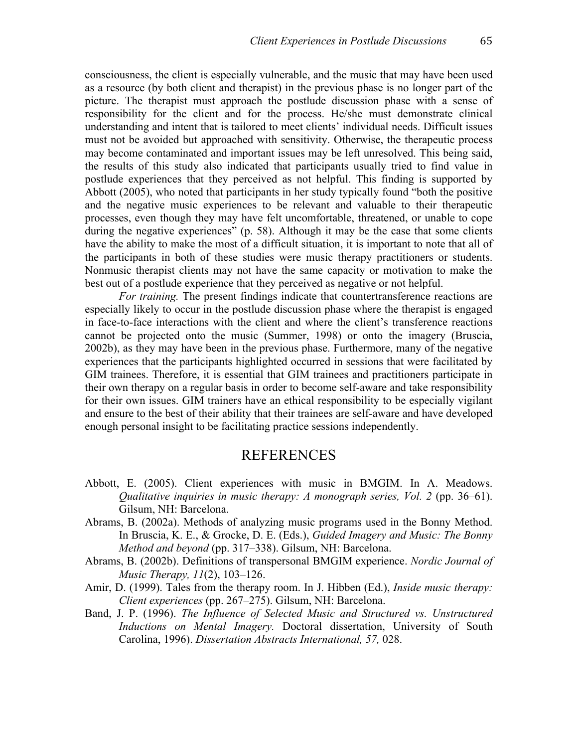consciousness, the client is especially vulnerable, and the music that may have been used as a resource (by both client and therapist) in the previous phase is no longer part of the picture. The therapist must approach the postlude discussion phase with a sense of responsibility for the client and for the process. He/she must demonstrate clinical understanding and intent that is tailored to meet clients' individual needs. Difficult issues must not be avoided but approached with sensitivity. Otherwise, the therapeutic process may become contaminated and important issues may be left unresolved. This being said, the results of this study also indicated that participants usually tried to find value in postlude experiences that they perceived as not helpful. This finding is supported by Abbott (2005), who noted that participants in her study typically found "both the positive and the negative music experiences to be relevant and valuable to their therapeutic processes, even though they may have felt uncomfortable, threatened, or unable to cope during the negative experiences" (p. 58). Although it may be the case that some clients have the ability to make the most of a difficult situation, it is important to note that all of the participants in both of these studies were music therapy practitioners or students. Nonmusic therapist clients may not have the same capacity or motivation to make the best out of a postlude experience that they perceived as negative or not helpful.

*For training.* The present findings indicate that countertransference reactions are especially likely to occur in the postlude discussion phase where the therapist is engaged in face-to-face interactions with the client and where the client's transference reactions cannot be projected onto the music (Summer, 1998) or onto the imagery (Bruscia, 2002b), as they may have been in the previous phase. Furthermore, many of the negative experiences that the participants highlighted occurred in sessions that were facilitated by GIM trainees. Therefore, it is essential that GIM trainees and practitioners participate in their own therapy on a regular basis in order to become self-aware and take responsibility for their own issues. GIM trainers have an ethical responsibility to be especially vigilant and ensure to the best of their ability that their trainees are self-aware and have developed enough personal insight to be facilitating practice sessions independently.

#### REFERENCES

- Abbott, E. (2005). Client experiences with music in BMGIM. In A. Meadows. *Qualitative inquiries in music therapy: A monograph series, Vol. 2 (pp. 36–61).* Gilsum, NH: Barcelona.
- Abrams, B. (2002a). Methods of analyzing music programs used in the Bonny Method. In Bruscia, K. E., & Grocke, D. E. (Eds.), *Guided Imagery and Music: The Bonny Method and beyond* (pp. 317–338). Gilsum, NH: Barcelona.
- Abrams, B. (2002b). Definitions of transpersonal BMGIM experience. *Nordic Journal of Music Therapy, 11*(2), 103–126.
- Amir, D. (1999). Tales from the therapy room. In J. Hibben (Ed.), *Inside music therapy: Client experiences* (pp. 267–275). Gilsum, NH: Barcelona.
- Band, J. P. (1996). *The Influence of Selected Music and Structured vs. Unstructured Inductions on Mental Imagery.* Doctoral dissertation, University of South Carolina, 1996). *Dissertation Abstracts International, 57,* 028.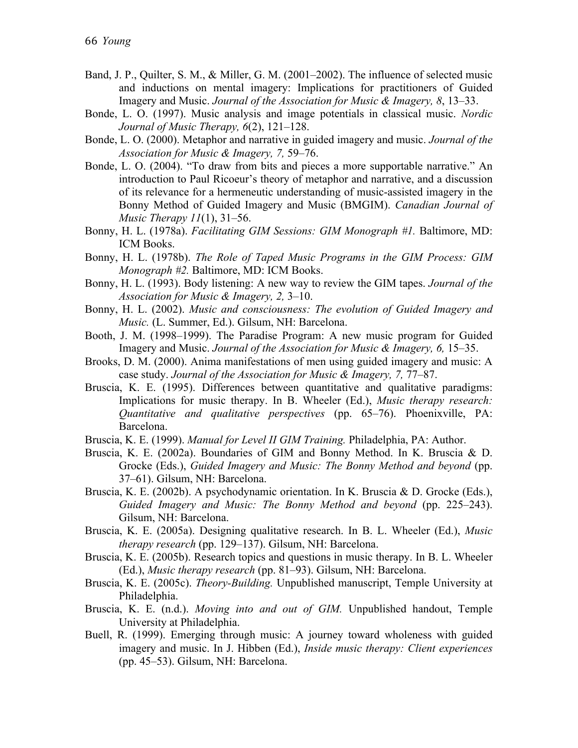- Band, J. P., Quilter, S. M., & Miller, G. M. (2001–2002). The influence of selected music and inductions on mental imagery: Implications for practitioners of Guided Imagery and Music. *Journal of the Association for Music & Imagery, 8*, 13–33.
- Bonde, L. O. (1997). Music analysis and image potentials in classical music. *Nordic Journal of Music Therapy, 6*(2), 121–128.
- Bonde, L. O. (2000). Metaphor and narrative in guided imagery and music. *Journal of the Association for Music & Imagery, 7,* 59–76.
- Bonde, L. O. (2004). "To draw from bits and pieces a more supportable narrative." An introduction to Paul Ricoeur's theory of metaphor and narrative, and a discussion of its relevance for a hermeneutic understanding of music-assisted imagery in the Bonny Method of Guided Imagery and Music (BMGIM). *Canadian Journal of Music Therapy 11*(1), 31–56.
- Bonny, H. L. (1978a). *Facilitating GIM Sessions: GIM Monograph #1.* Baltimore, MD: ICM Books.
- Bonny, H. L. (1978b). *The Role of Taped Music Programs in the GIM Process: GIM Monograph #2.* Baltimore, MD: ICM Books.
- Bonny, H. L. (1993). Body listening: A new way to review the GIM tapes. *Journal of the Association for Music & Imagery, 2,* 3–10.
- Bonny, H. L. (2002). *Music and consciousness: The evolution of Guided Imagery and Music.* (L. Summer, Ed.). Gilsum, NH: Barcelona.
- Booth, J. M. (1998–1999). The Paradise Program: A new music program for Guided Imagery and Music. *Journal of the Association for Music & Imagery, 6,* 15–35.
- Brooks, D. M. (2000). Anima manifestations of men using guided imagery and music: A case study. *Journal of the Association for Music & Imagery, 7,* 77–87.
- Bruscia, K. E. (1995). Differences between quantitative and qualitative paradigms: Implications for music therapy. In B. Wheeler (Ed.), *Music therapy research: Quantitative and qualitative perspectives* (pp. 65–76). Phoenixville, PA: Barcelona.
- Bruscia, K. E. (1999). *Manual for Level II GIM Training.* Philadelphia, PA: Author.
- Bruscia, K. E. (2002a). Boundaries of GIM and Bonny Method. In K. Bruscia & D. Grocke (Eds.), *Guided Imagery and Music: The Bonny Method and beyond* (pp. 37–61). Gilsum, NH: Barcelona.
- Bruscia, K. E. (2002b). A psychodynamic orientation. In K. Bruscia & D. Grocke (Eds.), *Guided Imagery and Music: The Bonny Method and beyond* (pp. 225–243). Gilsum, NH: Barcelona.
- Bruscia, K. E. (2005a). Designing qualitative research. In B. L. Wheeler (Ed.), *Music therapy research* (pp. 129–137). Gilsum, NH: Barcelona.
- Bruscia, K. E. (2005b). Research topics and questions in music therapy. In B. L. Wheeler (Ed.), *Music therapy research* (pp. 81–93). Gilsum, NH: Barcelona.
- Bruscia, K. E. (2005c). *Theory-Building.* Unpublished manuscript, Temple University at Philadelphia.
- Bruscia, K. E. (n.d.). *Moving into and out of GIM.* Unpublished handout, Temple University at Philadelphia.
- Buell, R. (1999). Emerging through music: A journey toward wholeness with guided imagery and music. In J. Hibben (Ed.), *Inside music therapy: Client experiences* (pp. 45–53). Gilsum, NH: Barcelona.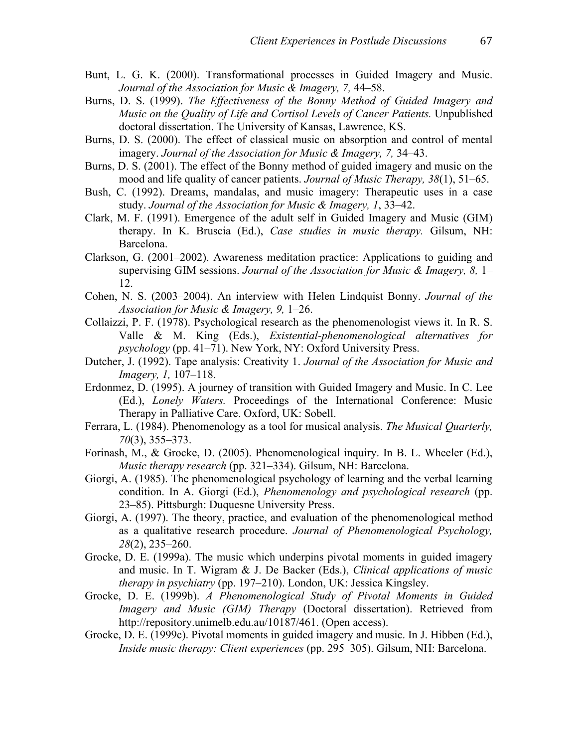- Bunt, L. G. K. (2000). Transformational processes in Guided Imagery and Music. *Journal of the Association for Music & Imagery, 7,* 44–58.
- Burns, D. S. (1999). *The Effectiveness of the Bonny Method of Guided Imagery and Music on the Quality of Life and Cortisol Levels of Cancer Patients.* Unpublished doctoral dissertation. The University of Kansas, Lawrence, KS.
- Burns, D. S. (2000). The effect of classical music on absorption and control of mental imagery. *Journal of the Association for Music & Imagery, 7,* 34–43.
- Burns, D. S. (2001). The effect of the Bonny method of guided imagery and music on the mood and life quality of cancer patients. *Journal of Music Therapy, 38*(1), 51–65.
- Bush, C. (1992). Dreams, mandalas, and music imagery: Therapeutic uses in a case study. *Journal of the Association for Music & Imagery, 1*, 33–42.
- Clark, M. F. (1991). Emergence of the adult self in Guided Imagery and Music (GIM) therapy. In K. Bruscia (Ed.), *Case studies in music therapy.* Gilsum, NH: Barcelona.
- Clarkson, G. (2001–2002). Awareness meditation practice: Applications to guiding and supervising GIM sessions. *Journal of the Association for Music & Imagery, 8,* 1– 12.
- Cohen, N. S. (2003–2004). An interview with Helen Lindquist Bonny. *Journal of the Association for Music & Imagery, 9,* 1–26.
- Collaizzi, P. F. (1978). Psychological research as the phenomenologist views it. In R. S. Valle & M. King (Eds.), *Existential-phenomenological alternatives for psychology* (pp. 41–71). New York, NY: Oxford University Press.
- Dutcher, J. (1992). Tape analysis: Creativity 1. *Journal of the Association for Music and Imagery, 1,* 107–118.
- Erdonmez, D. (1995). A journey of transition with Guided Imagery and Music. In C. Lee (Ed.), *Lonely Waters.* Proceedings of the International Conference: Music Therapy in Palliative Care. Oxford, UK: Sobell.
- Ferrara, L. (1984). Phenomenology as a tool for musical analysis. *The Musical Quarterly, 70*(3), 355–373.
- Forinash, M., & Grocke, D. (2005). Phenomenological inquiry. In B. L. Wheeler (Ed.), *Music therapy research* (pp. 321–334). Gilsum, NH: Barcelona.
- Giorgi, A. (1985). The phenomenological psychology of learning and the verbal learning condition. In A. Giorgi (Ed.), *Phenomenology and psychological research* (pp. 23–85). Pittsburgh: Duquesne University Press.
- Giorgi, A. (1997). The theory, practice, and evaluation of the phenomenological method as a qualitative research procedure. *Journal of Phenomenological Psychology, 28*(2), 235–260.
- Grocke, D. E. (1999a). The music which underpins pivotal moments in guided imagery and music. In T. Wigram & J. De Backer (Eds.), *Clinical applications of music therapy in psychiatry* (pp. 197–210). London, UK: Jessica Kingsley.
- Grocke, D. E. (1999b). *A Phenomenological Study of Pivotal Moments in Guided Imagery and Music (GIM) Therapy* (Doctoral dissertation). Retrieved from http://repository.unimelb.edu.au/10187/461. (Open access).
- Grocke, D. E. (1999c). Pivotal moments in guided imagery and music. In J. Hibben (Ed.), *Inside music therapy: Client experiences* (pp. 295–305). Gilsum, NH: Barcelona.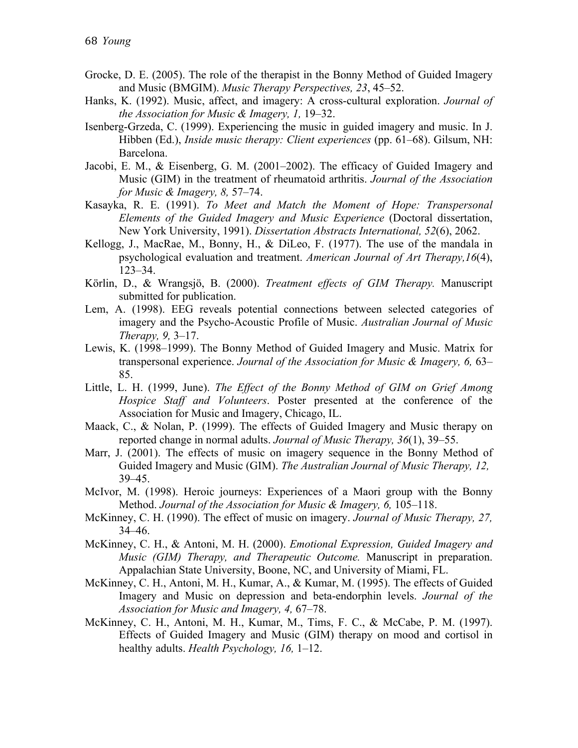- Grocke, D. E. (2005). The role of the therapist in the Bonny Method of Guided Imagery and Music (BMGIM). *Music Therapy Perspectives, 23*, 45–52.
- Hanks, K. (1992). Music, affect, and imagery: A cross-cultural exploration. *Journal of the Association for Music & Imagery, 1,* 19–32.
- Isenberg-Grzeda, C. (1999). Experiencing the music in guided imagery and music. In J. Hibben (Ed.), *Inside music therapy: Client experiences* (pp. 61–68). Gilsum, NH: Barcelona.
- Jacobi, E. M., & Eisenberg, G. M. (2001–2002). The efficacy of Guided Imagery and Music (GIM) in the treatment of rheumatoid arthritis. *Journal of the Association for Music & Imagery, 8,* 57–74.
- Kasayka, R. E. (1991). *To Meet and Match the Moment of Hope: Transpersonal Elements of the Guided Imagery and Music Experience* (Doctoral dissertation, New York University, 1991). *Dissertation Abstracts International, 52*(6), 2062.
- Kellogg, J., MacRae, M., Bonny, H., & DiLeo, F. (1977). The use of the mandala in psychological evaluation and treatment. *American Journal of Art Therapy,16*(4), 123–34.
- Körlin, D., & Wrangsjö, B. (2000). *Treatment effects of GIM Therapy.* Manuscript submitted for publication.
- Lem, A. (1998). EEG reveals potential connections between selected categories of imagery and the Psycho-Acoustic Profile of Music. *Australian Journal of Music Therapy, 9,* 3–17.
- Lewis, K. (1998–1999). The Bonny Method of Guided Imagery and Music. Matrix for transpersonal experience. *Journal of the Association for Music & Imagery, 6,* 63– 85.
- Little, L. H. (1999, June). *The Effect of the Bonny Method of GIM on Grief Among Hospice Staff and Volunteers*. Poster presented at the conference of the Association for Music and Imagery, Chicago, IL.
- Maack, C., & Nolan, P. (1999). The effects of Guided Imagery and Music therapy on reported change in normal adults. *Journal of Music Therapy, 36*(1), 39–55.
- Marr, J. (2001). The effects of music on imagery sequence in the Bonny Method of Guided Imagery and Music (GIM). *The Australian Journal of Music Therapy, 12,*  39–45.
- McIvor, M. (1998). Heroic journeys: Experiences of a Maori group with the Bonny Method. *Journal of the Association for Music & Imagery, 6, 105–118.*
- McKinney, C. H. (1990). The effect of music on imagery. *Journal of Music Therapy, 27,*  34–46.
- McKinney, C. H., & Antoni, M. H. (2000). *Emotional Expression, Guided Imagery and Music (GIM) Therapy, and Therapeutic Outcome.* Manuscript in preparation. Appalachian State University, Boone, NC, and University of Miami, FL.
- McKinney, C. H., Antoni, M. H., Kumar, A., & Kumar, M. (1995). The effects of Guided Imagery and Music on depression and beta-endorphin levels. *Journal of the Association for Music and Imagery, 4,* 67–78.
- McKinney, C. H., Antoni, M. H., Kumar, M., Tims, F. C., & McCabe, P. M. (1997). Effects of Guided Imagery and Music (GIM) therapy on mood and cortisol in healthy adults. *Health Psychology, 16,* 1–12.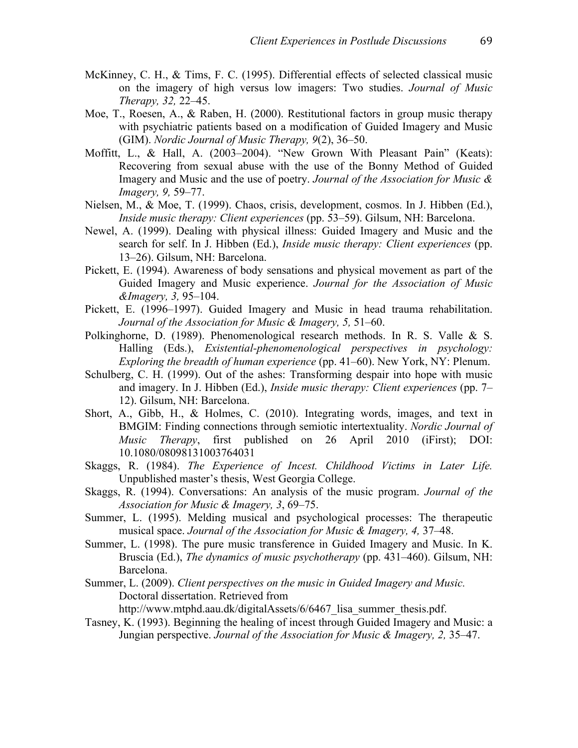- McKinney, C. H., & Tims, F. C. (1995). Differential effects of selected classical music on the imagery of high versus low imagers: Two studies. *Journal of Music Therapy, 32,* 22–45.
- Moe, T., Roesen, A., & Raben, H. (2000). Restitutional factors in group music therapy with psychiatric patients based on a modification of Guided Imagery and Music (GIM). *Nordic Journal of Music Therapy, 9*(2), 36–50.
- Moffitt, L., & Hall, A. (2003–2004). "New Grown With Pleasant Pain" (Keats): Recovering from sexual abuse with the use of the Bonny Method of Guided Imagery and Music and the use of poetry. *Journal of the Association for Music & Imagery, 9,* 59–77.
- Nielsen, M., & Moe, T. (1999). Chaos, crisis, development, cosmos. In J. Hibben (Ed.), *Inside music therapy: Client experiences* (pp. 53–59). Gilsum, NH: Barcelona.
- Newel, A. (1999). Dealing with physical illness: Guided Imagery and Music and the search for self. In J. Hibben (Ed.), *Inside music therapy: Client experiences* (pp. 13–26). Gilsum, NH: Barcelona.
- Pickett, E. (1994). Awareness of body sensations and physical movement as part of the Guided Imagery and Music experience. *Journal for the Association of Music &Imagery, 3,* 95–104.
- Pickett, E. (1996–1997). Guided Imagery and Music in head trauma rehabilitation. *Journal of the Association for Music & Imagery, 5,* 51–60.
- Polkinghorne, D. (1989). Phenomenological research methods. In R. S. Valle & S. Halling (Eds.), *Existential-phenomenological perspectives in psychology: Exploring the breadth of human experience* (pp. 41–60). New York, NY: Plenum.
- Schulberg, C. H. (1999). Out of the ashes: Transforming despair into hope with music and imagery. In J. Hibben (Ed.), *Inside music therapy: Client experiences* (pp. 7– 12). Gilsum, NH: Barcelona.
- Short, A., Gibb, H., & Holmes, C. (2010). Integrating words, images, and text in BMGIM: Finding connections through semiotic intertextuality. *Nordic Journal of Music Therapy*, first published on 26 April 2010 (iFirst); DOI: 10.1080/08098131003764031
- Skaggs, R. (1984). *The Experience of Incest. Childhood Victims in Later Life.* Unpublished master's thesis, West Georgia College.
- Skaggs, R. (1994). Conversations: An analysis of the music program. *Journal of the Association for Music & Imagery, 3*, 69–75.
- Summer, L. (1995). Melding musical and psychological processes: The therapeutic musical space. *Journal of the Association for Music & Imagery, 4,* 37–48.
- Summer, L. (1998). The pure music transference in Guided Imagery and Music. In K. Bruscia (Ed.), *The dynamics of music psychotherapy* (pp. 431–460). Gilsum, NH: Barcelona.
- Summer, L. (2009). *Client perspectives on the music in Guided Imagery and Music.* Doctoral dissertation. Retrieved from

http://www.mtphd.aau.dk/digitalAssets/6/6467 lisa summer thesis.pdf.

Tasney, K. (1993). Beginning the healing of incest through Guided Imagery and Music: a Jungian perspective. *Journal of the Association for Music & Imagery, 2,* 35–47.